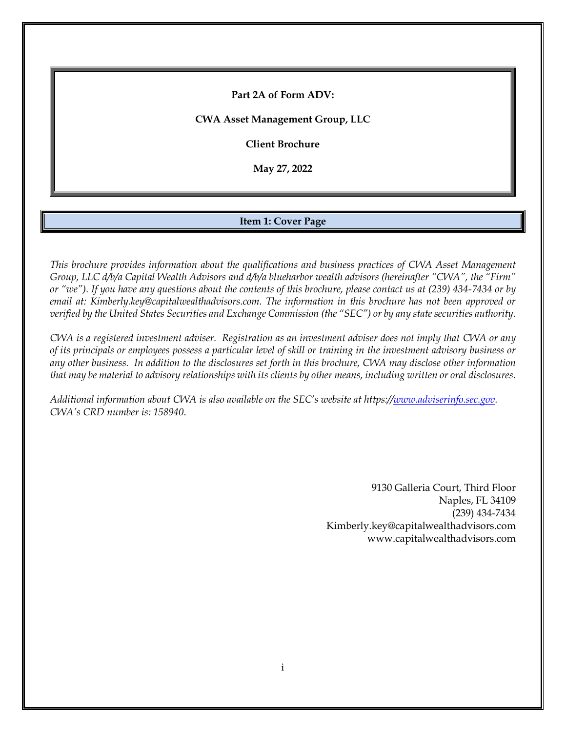**Part 2A of Form ADV:**

**CWA Asset Management Group, LLC**

**Client Brochure**

**May 27, 2022**

### **Item 1: Cover Page**

<span id="page-0-0"></span>*This brochure provides information about the qualifications and business practices of CWA Asset Management Group, LLC d/b/a Capital Wealth Advisors and d/b/a blueharbor wealth advisors (hereinafter "CWA", the "Firm" or "we"). If you have any questions about the contents of this brochure, please contact us at (239) 434-7434 or by email at: Kimberly.key@capitalwealthadvisors.com. The information in this brochure has not been approved or verified by the United States Securities and Exchange Commission (the "SEC") or by any state securities authority.*

*CWA is a registered investment adviser. Registration as an investment adviser does not imply that CWA or any of its principals or employees possess a particular level of skill or training in the investment advisory business or any other business. In addition to the disclosures set forth in this brochure, CWA may disclose other information that may be material to advisory relationships with its clients by other means, including written or oral disclosures.*

*Additional information about CWA is also available on the SEC's website at https:/[/www.adviserinfo.sec.gov.](http://www.adviserinfo.sec.gov/) CWA's CRD number is: 158940*.

> 9130 Galleria Court, Third Floor Naples, FL 34109 (239) 434-7434 Kimberly.key@capitalwealthadvisors.com www.capitalwealthadvisors.com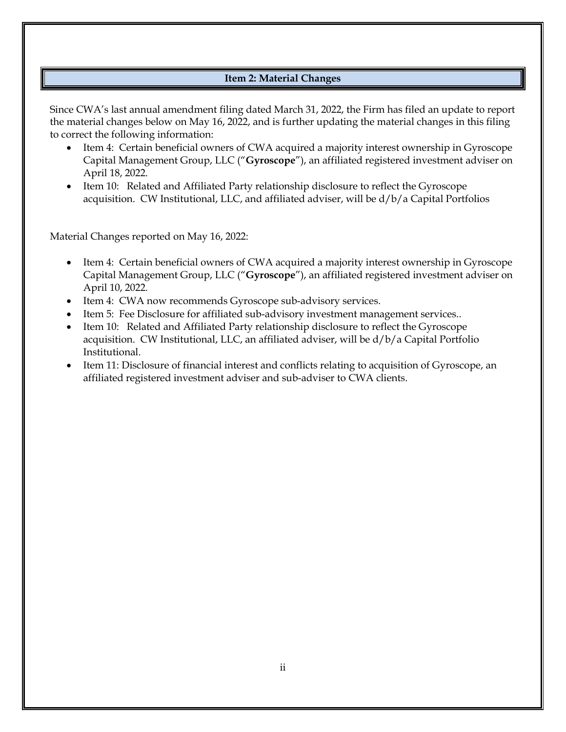# **Item 2: Material Changes**

<span id="page-1-0"></span>Since CWA's last annual amendment filing dated March 31, 2022, the Firm has filed an update to report the material changes below on May 16, 2022, and is further updating the material changes in this filing to correct the following information:

- Item 4: Certain beneficial owners of CWA acquired a majority interest ownership in Gyroscope Capital Management Group, LLC ("**Gyroscope**"), an affiliated registered investment adviser on April 18, 2022.
- Item 10: Related and Affiliated Party relationship disclosure to reflect the Gyroscope acquisition. CW Institutional, LLC, and affiliated adviser, will be d/b/a Capital Portfolios

Material Changes reported on May 16, 2022:

- Item 4: Certain beneficial owners of CWA acquired a majority interest ownership in Gyroscope Capital Management Group, LLC ("**Gyroscope**"), an affiliated registered investment adviser on April 10, 2022.
- Item 4: CWA now recommends Gyroscope sub-advisory services.
- Item 5: Fee Disclosure for affiliated sub-advisory investment management services..
- Item 10: Related and Affiliated Party relationship disclosure to reflect the Gyroscope acquisition. CW Institutional, LLC, an affiliated adviser, will be d/b/a Capital Portfolio Institutional.
- Item 11: Disclosure of financial interest and conflicts relating to acquisition of Gyroscope, an affiliated registered investment adviser and sub-adviser to CWA clients.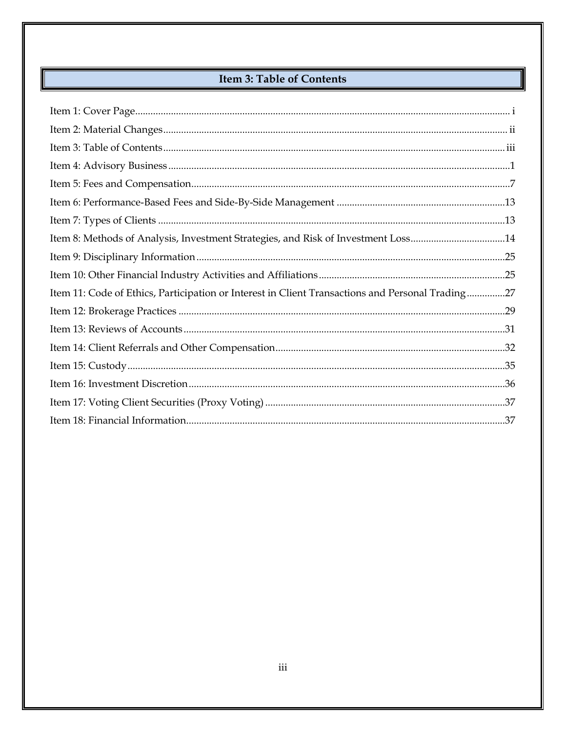# Item 3: Table of Contents

<span id="page-2-0"></span>

| Item 8: Methods of Analysis, Investment Strategies, and Risk of Investment Loss14                |  |
|--------------------------------------------------------------------------------------------------|--|
|                                                                                                  |  |
|                                                                                                  |  |
| Item 11: Code of Ethics, Participation or Interest in Client Transactions and Personal Trading27 |  |
|                                                                                                  |  |
|                                                                                                  |  |
|                                                                                                  |  |
|                                                                                                  |  |
|                                                                                                  |  |
|                                                                                                  |  |
|                                                                                                  |  |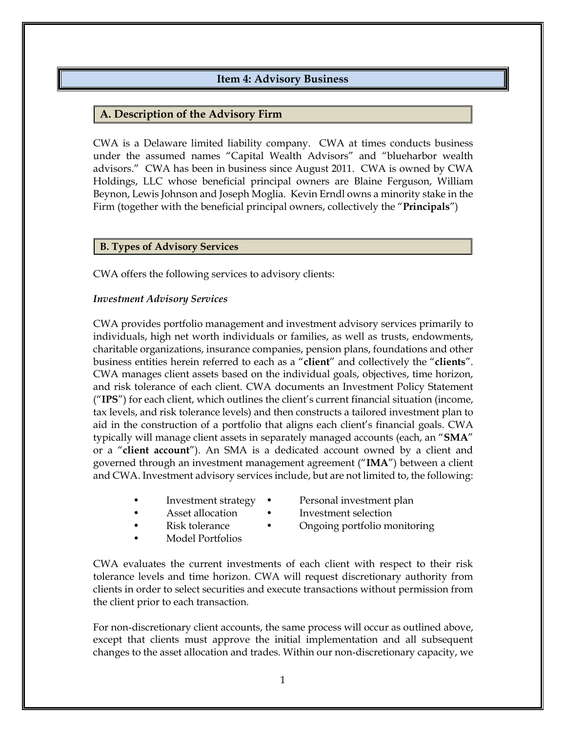# **Item 4: Advisory Business**

### <span id="page-3-0"></span>**A. Description of the Advisory Firm**

CWA is a Delaware limited liability company. CWA at times conducts business under the assumed names "Capital Wealth Advisors" and "blueharbor wealth advisors." CWA has been in business since August 2011. CWA is owned by CWA Holdings, LLC whose beneficial principal owners are Blaine Ferguson, William Beynon, Lewis Johnson and Joseph Moglia. Kevin Erndl owns a minority stake in the Firm (together with the beneficial principal owners, collectively the "**Principals**")

#### **B. Types of Advisory Services**

CWA offers the following services to advisory clients:

#### *Investment Advisory Services*

CWA provides portfolio management and investment advisory services primarily to individuals, high net worth individuals or families, as well as trusts, endowments, charitable organizations, insurance companies, pension plans, foundations and other business entities herein referred to each as a "**client**" and collectively the "**clients**". CWA manages client assets based on the individual goals, objectives, time horizon, and risk tolerance of each client. CWA documents an Investment Policy Statement ("**IPS**") for each client, which outlines the client's current financial situation (income, tax levels, and risk tolerance levels) and then constructs a tailored investment plan to aid in the construction of a portfolio that aligns each client's financial goals. CWA typically will manage client assets in separately managed accounts (each, an "**SMA**" or a "**client account**"). An SMA is a dedicated account owned by a client and governed through an investment management agreement ("**IMA**") between a client and CWA. Investment advisory services include, but are not limited to, the following:

- Investment strategy Personal investment plan
	- Asset allocation Investment selection
- 

the client prior to each transaction.

- Risk tolerance Ongoing portfolio monitoring
- Model Portfolios
- 

For non-discretionary client accounts, the same process will occur as outlined above, except that clients must approve the initial implementation and all subsequent changes to the asset allocation and trades. Within our non‐discretionary capacity, we

CWA evaluates the current investments of each client with respect to their risk tolerance levels and time horizon. CWA will request discretionary authority from clients in order to select securities and execute transactions without permission from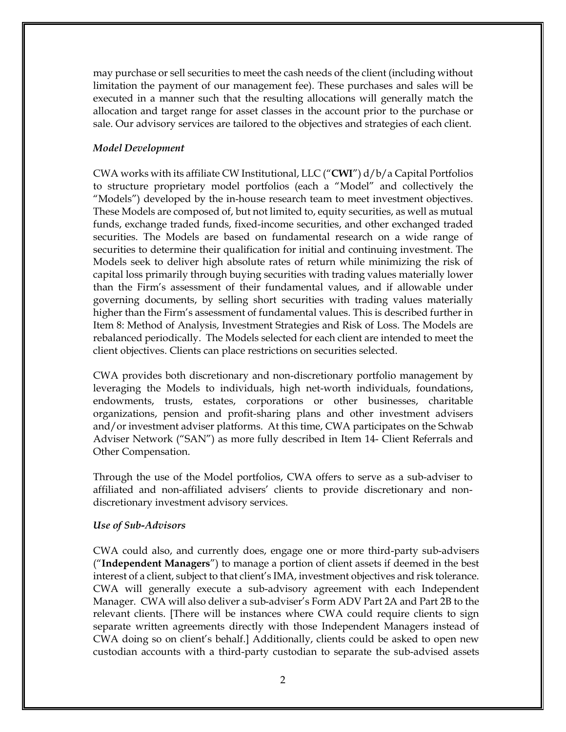may purchase or sell securities to meet the cash needs of the client (including without limitation the payment of our management fee). These purchases and sales will be executed in a manner such that the resulting allocations will generally match the allocation and target range for asset classes in the account prior to the purchase or sale. Our advisory services are tailored to the objectives and strategies of each client.

#### *Model Development*

CWA works with its affiliate CW Institutional, LLC ("**CWI**") d/b/a Capital Portfolios to structure proprietary model portfolios (each a "Model" and collectively the "Models") developed by the in-house research team to meet investment objectives. These Models are composed of, but not limited to, equity securities, as well as mutual funds, exchange traded funds, fixed-income securities, and other exchanged traded securities. The Models are based on fundamental research on a wide range of securities to determine their qualification for initial and continuing investment. The Models seek to deliver high absolute rates of return while minimizing the risk of capital loss primarily through buying securities with trading values materially lower than the Firm's assessment of their fundamental values, and if allowable under governing documents, by selling short securities with trading values materially higher than the Firm's assessment of fundamental values. This is described further in Item 8: Method of Analysis, Investment Strategies and Risk of Loss. The Models are rebalanced periodically. The Models selected for each client are intended to meet the client objectives. Clients can place restrictions on securities selected.

CWA provides both discretionary and non-discretionary portfolio management by leveraging the Models to individuals, high net-worth individuals, foundations, endowments, trusts, estates, corporations or other businesses, charitable organizations, pension and profit-sharing plans and other investment advisers and/or investment adviser platforms. At this time, CWA participates on the Schwab Adviser Network ("SAN") as more fully described in Item 14- Client Referrals and Other Compensation.

Through the use of the Model portfolios, CWA offers to serve as a sub-adviser to affiliated and non-affiliated advisers' clients to provide discretionary and nondiscretionary investment advisory services.

#### *Use of Sub-Advisors*

CWA could also, and currently does, engage one or more third-party sub-advisers ("**Independent Managers**") to manage a portion of client assets if deemed in the best interest of a client, subject to that client's IMA, investment objectives and risk tolerance. CWA will generally execute a sub-advisory agreement with each Independent Manager. CWA will also deliver a sub-adviser's Form ADV Part 2A and Part 2B to the relevant clients. [There will be instances where CWA could require clients to sign separate written agreements directly with those Independent Managers instead of CWA doing so on client's behalf.] Additionally, clients could be asked to open new custodian accounts with a third-party custodian to separate the sub-advised assets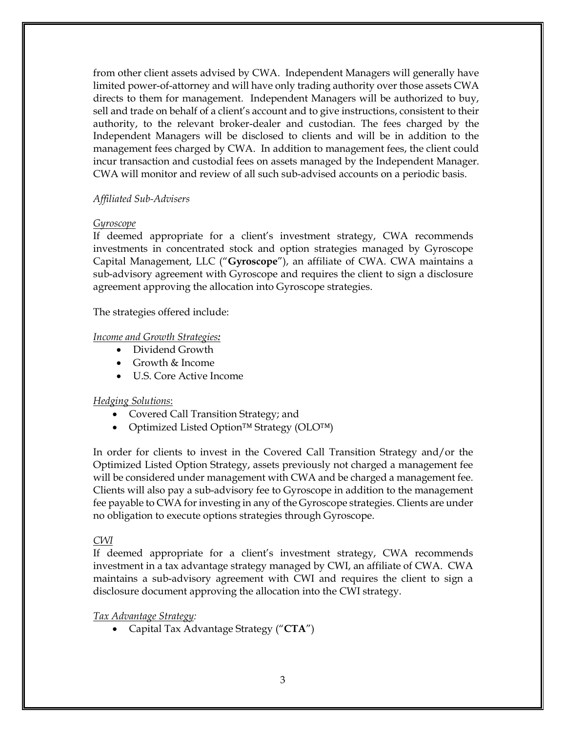from other client assets advised by CWA. Independent Managers will generally have limited power-of-attorney and will have only trading authority over those assets CWA directs to them for management. Independent Managers will be authorized to buy, sell and trade on behalf of a client's account and to give instructions, consistent to their authority, to the relevant broker-dealer and custodian. The fees charged by the Independent Managers will be disclosed to clients and will be in addition to the management fees charged by CWA. In addition to management fees, the client could incur transaction and custodial fees on assets managed by the Independent Manager. CWA will monitor and review of all such sub-advised accounts on a periodic basis.

### *Affiliated Sub-Advisers*

#### *Gyroscope*

If deemed appropriate for a client's investment strategy, CWA recommends investments in concentrated stock and option strategies managed by Gyroscope Capital Management, LLC ("**Gyroscope**"), an affiliate of CWA. CWA maintains a sub-advisory agreement with Gyroscope and requires the client to sign a disclosure agreement approving the allocation into Gyroscope strategies.

The strategies offered include:

### *Income and Growth Strategies:*

- Dividend Growth
- Growth & Income
- U.S. Core Active Income

### *Hedging Solutions*:

- Covered Call Transition Strategy; and
- Optimized Listed Option™ Strategy (OLO™)

In order for clients to invest in the Covered Call Transition Strategy and/or the Optimized Listed Option Strategy, assets previously not charged a management fee will be considered under management with CWA and be charged a management fee. Clients will also pay a sub-advisory fee to Gyroscope in addition to the management fee payable to CWA for investing in any of the Gyroscope strategies. Clients are under no obligation to execute options strategies through Gyroscope.

### *CWI*

If deemed appropriate for a client's investment strategy, CWA recommends investment in a tax advantage strategy managed by CWI, an affiliate of CWA. CWA maintains a sub-advisory agreement with CWI and requires the client to sign a disclosure document approving the allocation into the CWI strategy.

*Tax Advantage Strategy:*

• Capital Tax Advantage Strategy ("**CTA**")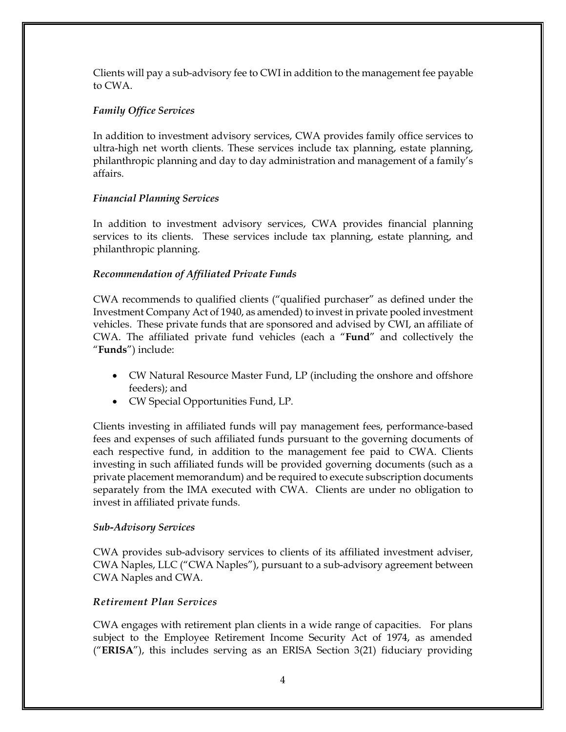Clients will pay a sub-advisory fee to CWI in addition to the management fee payable to CWA.

# *Family Office Services*

In addition to investment advisory services, CWA provides family office services to ultra-high net worth clients. These services include tax planning, estate planning, philanthropic planning and day to day administration and management of a family's affairs.

# *Financial Planning Services*

In addition to investment advisory services, CWA provides financial planning services to its clients. These services include tax planning, estate planning, and philanthropic planning.

# *Recommendation of Affiliated Private Funds*

CWA recommends to qualified clients ("qualified purchaser" as defined under the Investment Company Act of 1940, as amended) to invest in private pooled investment vehicles. These private funds that are sponsored and advised by CWI, an affiliate of CWA. The affiliated private fund vehicles (each a "**Fund**" and collectively the "**Funds**") include:

- CW Natural Resource Master Fund, LP (including the onshore and offshore feeders); and
- CW Special Opportunities Fund, LP.

Clients investing in affiliated funds will pay management fees, performance-based fees and expenses of such affiliated funds pursuant to the governing documents of each respective fund, in addition to the management fee paid to CWA. Clients investing in such affiliated funds will be provided governing documents (such as a private placement memorandum) and be required to execute subscription documents separately from the IMA executed with CWA. Clients are under no obligation to invest in affiliated private funds.

# *Sub-Advisory Services*

CWA provides sub-advisory services to clients of its affiliated investment adviser, CWA Naples, LLC ("CWA Naples"), pursuant to a sub-advisory agreement between CWA Naples and CWA.

# *Retirement Plan Services*

CWA engages with retirement plan clients in a wide range of capacities. For plans subject to the Employee Retirement Income Security Act of 1974, as amended ("**ERISA**"), this includes serving as an ERISA Section 3(21) fiduciary providing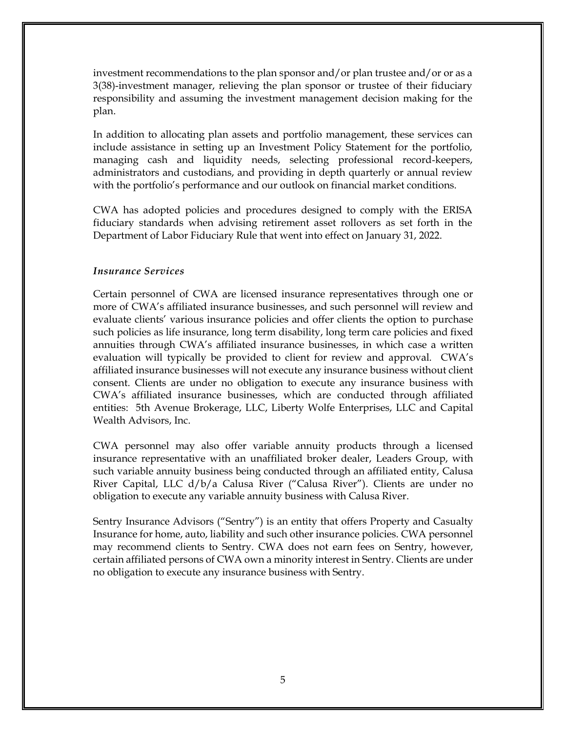investment recommendations to the plan sponsor and/or plan trustee and/or or as a 3(38)-investment manager, relieving the plan sponsor or trustee of their fiduciary responsibility and assuming the investment management decision making for the plan.

In addition to allocating plan assets and portfolio management, these services can include assistance in setting up an Investment Policy Statement for the portfolio, managing cash and liquidity needs, selecting professional record-keepers, administrators and custodians, and providing in depth quarterly or annual review with the portfolio's performance and our outlook on financial market conditions.

CWA has adopted policies and procedures designed to comply with the ERISA fiduciary standards when advising retirement asset rollovers as set forth in the Department of Labor Fiduciary Rule that went into effect on January 31, 2022.

#### *Insurance Services*

Certain personnel of CWA are licensed insurance representatives through one or more of CWA's affiliated insurance businesses, and such personnel will review and evaluate clients' various insurance policies and offer clients the option to purchase such policies as life insurance, long term disability, long term care policies and fixed annuities through CWA's affiliated insurance businesses, in which case a written evaluation will typically be provided to client for review and approval. CWA's affiliated insurance businesses will not execute any insurance business without client consent. Clients are under no obligation to execute any insurance business with CWA's affiliated insurance businesses, which are conducted through affiliated entities: 5th Avenue Brokerage, LLC, Liberty Wolfe Enterprises, LLC and Capital Wealth Advisors, Inc.

CWA personnel may also offer variable annuity products through a licensed insurance representative with an unaffiliated broker dealer, Leaders Group, with such variable annuity business being conducted through an affiliated entity, Calusa River Capital, LLC d/b/a Calusa River ("Calusa River"). Clients are under no obligation to execute any variable annuity business with Calusa River.

Sentry Insurance Advisors ("Sentry") is an entity that offers Property and Casualty Insurance for home, auto, liability and such other insurance policies. CWA personnel may recommend clients to Sentry. CWA does not earn fees on Sentry, however, certain affiliated persons of CWA own a minority interest in Sentry. Clients are under no obligation to execute any insurance business with Sentry.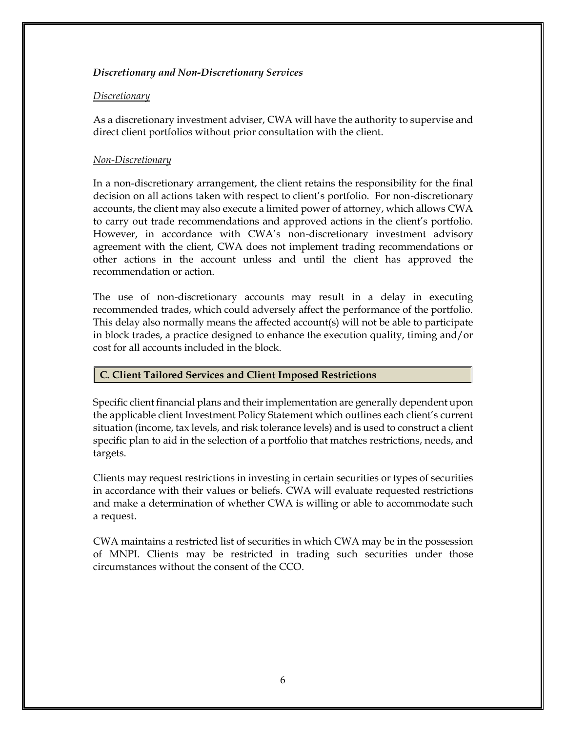# *Discretionary and Non-Discretionary Services*

### *Discretionary*

As a discretionary investment adviser, CWA will have the authority to supervise and direct client portfolios without prior consultation with the client.

### *Non-Discretionary*

In a non-discretionary arrangement, the client retains the responsibility for the final decision on all actions taken with respect to client's portfolio. For non-discretionary accounts, the client may also execute a limited power of attorney, which allows CWA to carry out trade recommendations and approved actions in the client's portfolio. However, in accordance with CWA's non-discretionary investment advisory agreement with the client, CWA does not implement trading recommendations or other actions in the account unless and until the client has approved the recommendation or action.

The use of non-discretionary accounts may result in a delay in executing recommended trades, which could adversely affect the performance of the portfolio. This delay also normally means the affected account(s) will not be able to participate in block trades, a practice designed to enhance the execution quality, timing and/or cost for all accounts included in the block.

### **C. Client Tailored Services and Client Imposed Restrictions**

Specific client financial plans and their implementation are generally dependent upon the applicable client Investment Policy Statement which outlines each client's current situation (income, tax levels, and risk tolerance levels) and is used to construct a client specific plan to aid in the selection of a portfolio that matches restrictions, needs, and targets.

Clients may request restrictions in investing in certain securities or types of securities in accordance with their values or beliefs. CWA will evaluate requested restrictions and make a determination of whether CWA is willing or able to accommodate such a request.

CWA maintains a restricted list of securities in which CWA may be in the possession of MNPI. Clients may be restricted in trading such securities under those circumstances without the consent of the CCO.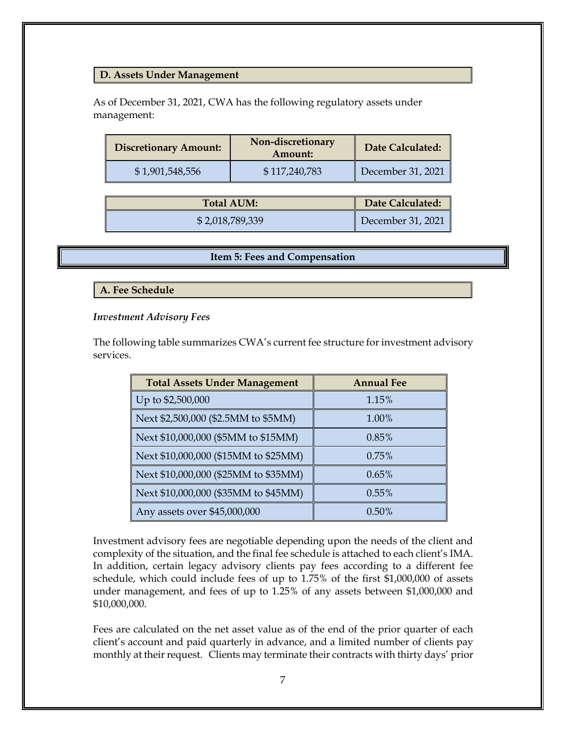#### **D. Assets Under Management**

As of December 31, 2021, CWA has the following regulatory assets under management:

| <b>Discretionary Amount:</b> | Non-discretionary<br>Amount: | Date Calculated:  |
|------------------------------|------------------------------|-------------------|
| \$1,901,548,556              | \$117,240,783                | December 31, 2021 |

| <b>Total AUM:</b> | Date Calculated:  |
|-------------------|-------------------|
| \$2,018,789,339   | December 31, 2021 |

#### **Item 5: Fees and Compensation**

<span id="page-9-0"></span>**A. Fee Schedule**

#### *Investment Advisory Fees*

The following table summarizes CWA's current fee structure for investment advisory services.

| <b>Total Assets Under Management</b> | <b>Annual Fee</b> |
|--------------------------------------|-------------------|
| Up to \$2,500,000                    | 1.15%             |
| Next \$2,500,000 (\$2.5MM to \$5MM)  | 1.00%             |
| Next \$10,000,000 (\$5MM to \$15MM)  | 0.85%             |
| Next \$10,000,000 (\$15MM to \$25MM) | 0.75%             |
| Next \$10,000,000 (\$25MM to \$35MM) | 0.65%             |
| Next \$10,000,000 (\$35MM to \$45MM) | 0.55%             |
| Any assets over \$45,000,000         | 0.50%             |

Investment advisory fees are negotiable depending upon the needs of the client and complexity of the situation, and the final fee schedule is attached to each client's IMA. In addition, certain legacy advisory clients pay fees according to a different fee schedule, which could include fees of up to 1.75% of the first \$1,000,000 of assets under management, and fees of up to 1.25% of any assets between \$1,000,000 and \$10,000,000.

Fees are calculated on the net asset value as of the end of the prior quarter of each client's account and paid quarterly in advance, and a limited number of clients pay monthly at their request. Clients may terminate their contracts with thirty days' prior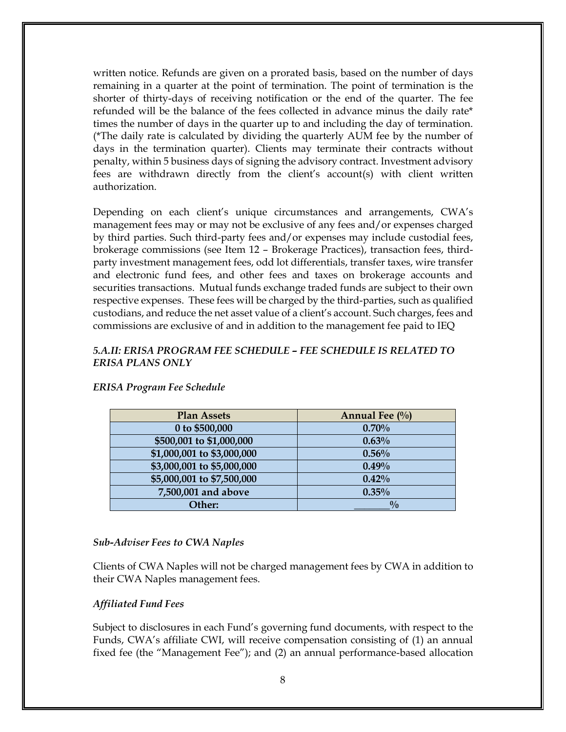written notice. Refunds are given on a prorated basis, based on the number of days remaining in a quarter at the point of termination. The point of termination is the shorter of thirty-days of receiving notification or the end of the quarter. The fee refunded will be the balance of the fees collected in advance minus the daily rate\* times the number of days in the quarter up to and including the day of termination. (\*The daily rate is calculated by dividing the quarterly AUM fee by the number of days in the termination quarter). Clients may terminate their contracts without penalty, within 5 business days of signing the advisory contract. Investment advisory fees are withdrawn directly from the client's account(s) with client written authorization.

Depending on each client's unique circumstances and arrangements, CWA's management fees may or may not be exclusive of any fees and/or expenses charged by third parties. Such third-party fees and/or expenses may include custodial fees, brokerage commissions (see Item 12 – Brokerage Practices), transaction fees, thirdparty investment management fees, odd lot differentials, transfer taxes, wire transfer and electronic fund fees, and other fees and taxes on brokerage accounts and securities transactions. Mutual funds exchange traded funds are subject to their own respective expenses. These fees will be charged by the third-parties, such as qualified custodians, and reduce the net asset value of a client's account. Such charges, fees and commissions are exclusive of and in addition to the management fee paid to IEQ

### *5.A.II: ERISA PROGRAM FEE SCHEDULE – FEE SCHEDULE IS RELATED TO ERISA PLANS ONLY*

| <b>Plan Assets</b>         | Annual Fee $\left(\frac{0}{0}\right)$ |
|----------------------------|---------------------------------------|
| 0 to \$500,000             | 0.70%                                 |
| \$500,001 to \$1,000,000   | 0.63%                                 |
| \$1,000,001 to \$3,000,000 | 0.56%                                 |
| \$3,000,001 to \$5,000,000 | 0.49%                                 |
| \$5,000,001 to \$7,500,000 | 0.42%                                 |
| 7,500,001 and above        | $0.35\%$                              |
| Other:                     | $\frac{0}{0}$                         |

### *ERISA Program Fee Schedule*

#### *Sub-Adviser Fees to CWA Naples*

Clients of CWA Naples will not be charged management fees by CWA in addition to their CWA Naples management fees.

### *Affiliated Fund Fees*

Subject to disclosures in each Fund's governing fund documents, with respect to the Funds, CWA's affiliate CWI, will receive compensation consisting of (1) an annual fixed fee (the "Management Fee"); and (2) an annual performance-based allocation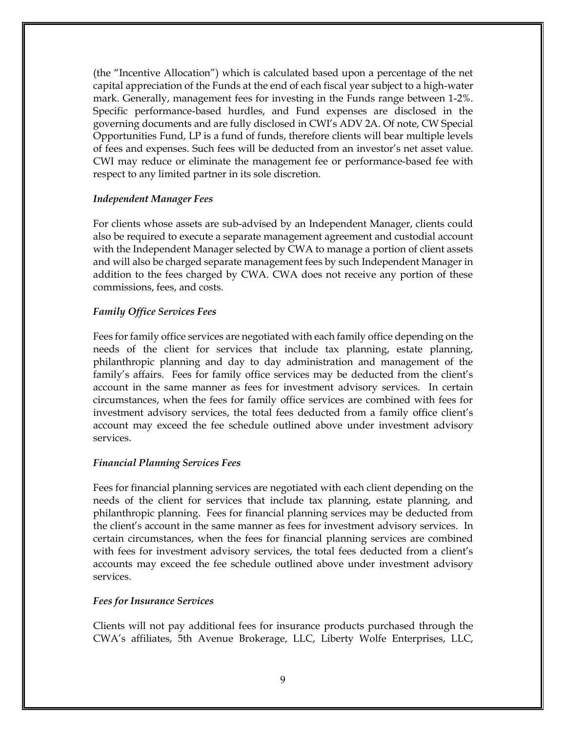(the "Incentive Allocation") which is calculated based upon a percentage of the net capital appreciation of the Funds at the end of each fiscal year subject to a high-water mark. Generally, management fees for investing in the Funds range between 1-2%. Specific performance-based hurdles, and Fund expenses are disclosed in the governing documents and are fully disclosed in CWI's ADV 2A. Of note, CW Special Opportunities Fund, LP is a fund of funds, therefore clients will bear multiple levels of fees and expenses. Such fees will be deducted from an investor's net asset value. CWI may reduce or eliminate the management fee or performance-based fee with respect to any limited partner in its sole discretion.

### *Independent Manager Fees*

For clients whose assets are sub-advised by an Independent Manager, clients could also be required to execute a separate management agreement and custodial account with the Independent Manager selected by CWA to manage a portion of client assets and will also be charged separate management fees by such Independent Manager in addition to the fees charged by CWA. CWA does not receive any portion of these commissions, fees, and costs.

#### *Family Office Services Fees*

Fees for family office services are negotiated with each family office depending on the needs of the client for services that include tax planning, estate planning, philanthropic planning and day to day administration and management of the family's affairs. Fees for family office services may be deducted from the client's account in the same manner as fees for investment advisory services. In certain circumstances, when the fees for family office services are combined with fees for investment advisory services, the total fees deducted from a family office client's account may exceed the fee schedule outlined above under investment advisory services.

#### *Financial Planning Services Fees*

Fees for financial planning services are negotiated with each client depending on the needs of the client for services that include tax planning, estate planning, and philanthropic planning. Fees for financial planning services may be deducted from the client's account in the same manner as fees for investment advisory services. In certain circumstances, when the fees for financial planning services are combined with fees for investment advisory services, the total fees deducted from a client's accounts may exceed the fee schedule outlined above under investment advisory services.

#### *Fees for Insurance Services*

Clients will not pay additional fees for insurance products purchased through the CWA's affiliates, 5th Avenue Brokerage, LLC, Liberty Wolfe Enterprises, LLC,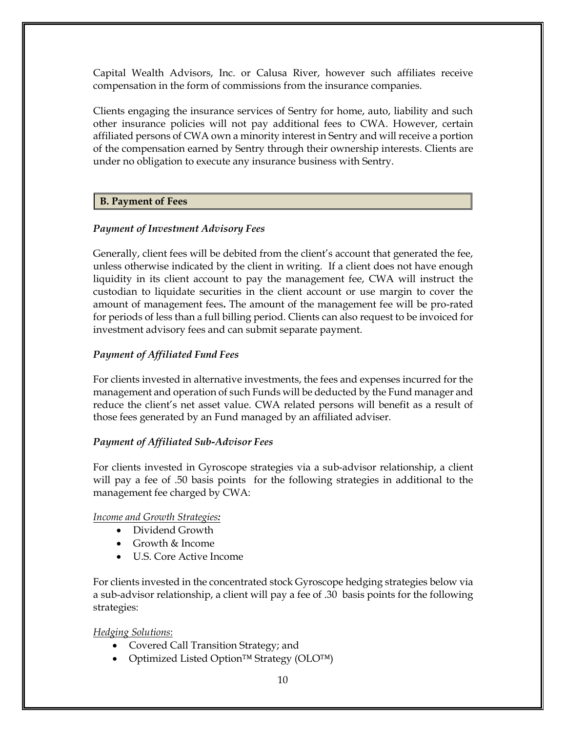Capital Wealth Advisors, Inc. or Calusa River, however such affiliates receive compensation in the form of commissions from the insurance companies.

Clients engaging the insurance services of Sentry for home, auto, liability and such other insurance policies will not pay additional fees to CWA. However, certain affiliated persons of CWA own a minority interest in Sentry and will receive a portion of the compensation earned by Sentry through their ownership interests. Clients are under no obligation to execute any insurance business with Sentry.

# **B. Payment of Fees**

# *Payment of Investment Advisory Fees*

Generally, client fees will be debited from the client's account that generated the fee, unless otherwise indicated by the client in writing. If a client does not have enough liquidity in its client account to pay the management fee, CWA will instruct the custodian to liquidate securities in the client account or use margin to cover the amount of management fees**.** The amount of the management fee will be pro-rated for periods of less than a full billing period. Clients can also request to be invoiced for investment advisory fees and can submit separate payment.

# *Payment of Affiliated Fund Fees*

For clients invested in alternative investments, the fees and expenses incurred for the management and operation of such Funds will be deducted by the Fund manager and reduce the client's net asset value. CWA related persons will benefit as a result of those fees generated by an Fund managed by an affiliated adviser.

# *Payment of Affiliated Sub-Advisor Fees*

For clients invested in Gyroscope strategies via a sub-advisor relationship, a client will pay a fee of .50 basis points for the following strategies in additional to the management fee charged by CWA:

# *Income and Growth Strategies:*

- Dividend Growth
- Growth & Income
- U.S. Core Active Income

For clients invested in the concentrated stock Gyroscope hedging strategies below via a sub-advisor relationship, a client will pay a fee of .30 basis points for the following strategies:

# *Hedging Solutions*:

- Covered Call Transition Strategy; and
- Optimized Listed Option™ Strategy (OLO™)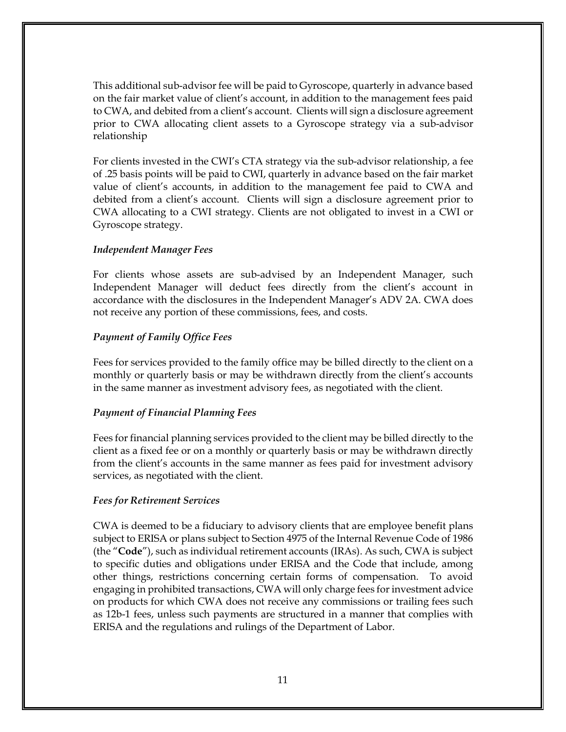This additional sub-advisor fee will be paid to Gyroscope, quarterly in advance based on the fair market value of client's account, in addition to the management fees paid to CWA, and debited from a client's account. Clients will sign a disclosure agreement prior to CWA allocating client assets to a Gyroscope strategy via a sub-advisor relationship

For clients invested in the CWI's CTA strategy via the sub-advisor relationship, a fee of .25 basis points will be paid to CWI, quarterly in advance based on the fair market value of client's accounts, in addition to the management fee paid to CWA and debited from a client's account. Clients will sign a disclosure agreement prior to CWA allocating to a CWI strategy. Clients are not obligated to invest in a CWI or Gyroscope strategy.

### *Independent Manager Fees*

For clients whose assets are sub-advised by an Independent Manager, such Independent Manager will deduct fees directly from the client's account in accordance with the disclosures in the Independent Manager's ADV 2A. CWA does not receive any portion of these commissions, fees, and costs.

# *Payment of Family Office Fees*

Fees for services provided to the family office may be billed directly to the client on a monthly or quarterly basis or may be withdrawn directly from the client's accounts in the same manner as investment advisory fees, as negotiated with the client.

### *Payment of Financial Planning Fees*

Fees for financial planning services provided to the client may be billed directly to the client as a fixed fee or on a monthly or quarterly basis or may be withdrawn directly from the client's accounts in the same manner as fees paid for investment advisory services, as negotiated with the client.

### *Fees for Retirement Services*

CWA is deemed to be a fiduciary to advisory clients that are employee benefit plans subject to ERISA or plans subject to Section 4975 of the Internal Revenue Code of 1986 (the "**Code**"), such as individual retirement accounts (IRAs). As such, CWA is subject to specific duties and obligations under ERISA and the Code that include, among other things, restrictions concerning certain forms of compensation. To avoid engaging in prohibited transactions, CWA will only charge fees for investment advice on products for which CWA does not receive any commissions or trailing fees such as 12b-1 fees, unless such payments are structured in a manner that complies with ERISA and the regulations and rulings of the Department of Labor.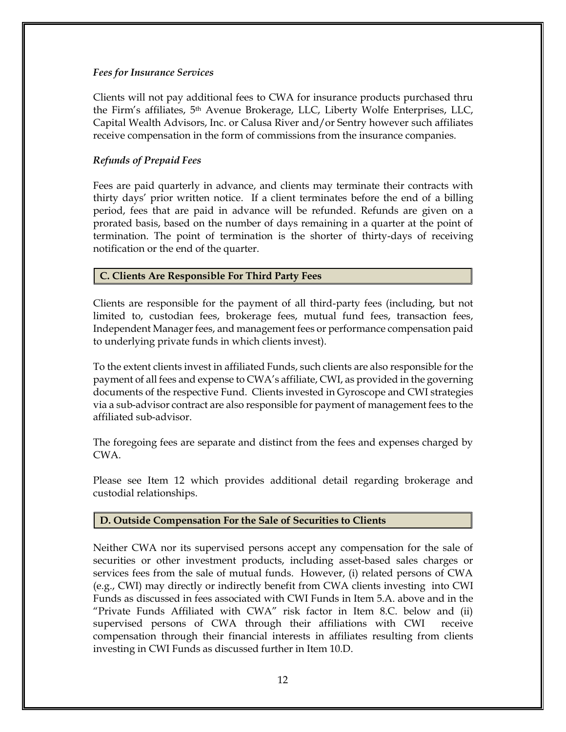### *Fees for Insurance Services*

Clients will not pay additional fees to CWA for insurance products purchased thru the Firm's affiliates, 5th Avenue Brokerage, LLC, Liberty Wolfe Enterprises, LLC, Capital Wealth Advisors, Inc. or Calusa River and/or Sentry however such affiliates receive compensation in the form of commissions from the insurance companies.

### *Refunds of Prepaid Fees*

Fees are paid quarterly in advance, and clients may terminate their contracts with thirty days' prior written notice. If a client terminates before the end of a billing period, fees that are paid in advance will be refunded. Refunds are given on a prorated basis, based on the number of days remaining in a quarter at the point of termination. The point of termination is the shorter of thirty-days of receiving notification or the end of the quarter.

### **C. Clients Are Responsible For Third Party Fees**

Clients are responsible for the payment of all third-party fees (including, but not limited to, custodian fees, brokerage fees, mutual fund fees, transaction fees, Independent Manager fees, and management fees or performance compensation paid to underlying private funds in which clients invest).

To the extent clients invest in affiliated Funds, such clients are also responsible for the payment of all fees and expense to CWA's affiliate, CWI, as provided in the governing documents of the respective Fund. Clients invested in Gyroscope and CWI strategies via a sub-advisor contract are also responsible for payment of management fees to the affiliated sub-advisor.

The foregoing fees are separate and distinct from the fees and expenses charged by CWA.

Please see Item 12 which provides additional detail regarding brokerage and custodial relationships.

# **D. Outside Compensation For the Sale of Securities to Clients**

Neither CWA nor its supervised persons accept any compensation for the sale of securities or other investment products, including asset-based sales charges or services fees from the sale of mutual funds. However, (i) related persons of CWA (e.g., CWI) may directly or indirectly benefit from CWA clients investing into CWI Funds as discussed in fees associated with CWI Funds in Item 5.A. above and in the "Private Funds Affiliated with CWA" risk factor in Item 8.C. below and (ii) supervised persons of CWA through their affiliations with CWI receive compensation through their financial interests in affiliates resulting from clients investing in CWI Funds as discussed further in Item 10.D.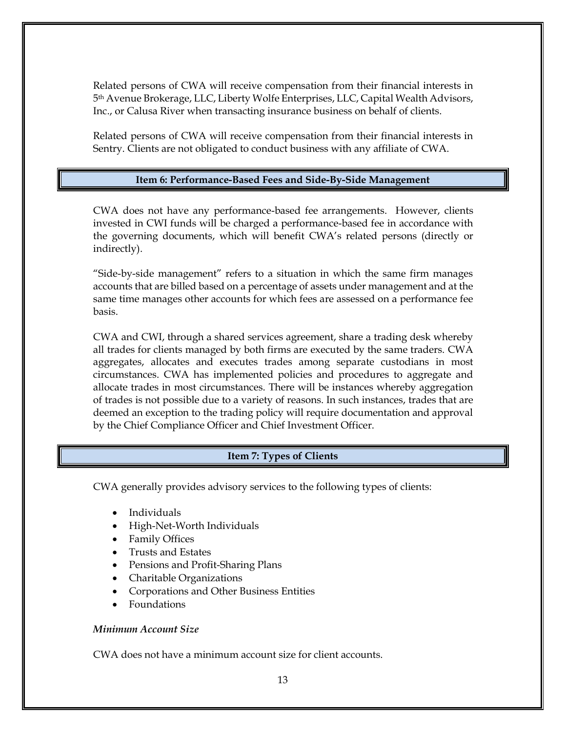Related persons of CWA will receive compensation from their financial interests in 5th Avenue Brokerage, LLC, Liberty Wolfe Enterprises, LLC, Capital Wealth Advisors, Inc., or Calusa River when transacting insurance business on behalf of clients.

<span id="page-15-0"></span>Related persons of CWA will receive compensation from their financial interests in Sentry. Clients are not obligated to conduct business with any affiliate of CWA.

### **Item 6: Performance-Based Fees and Side-By-Side Management**

CWA does not have any performance-based fee arrangements. However, clients invested in CWI funds will be charged a performance-based fee in accordance with the governing documents, which will benefit CWA's related persons (directly or indirectly).

"Side-by-side management" refers to a situation in which the same firm manages accounts that are billed based on a percentage of assets under management and at the same time manages other accounts for which fees are assessed on a performance fee basis.

CWA and CWI, through a shared services agreement, share a trading desk whereby all trades for clients managed by both firms are executed by the same traders. CWA aggregates, allocates and executes trades among separate custodians in most circumstances. CWA has implemented policies and procedures to aggregate and allocate trades in most circumstances. There will be instances whereby aggregation of trades is not possible due to a variety of reasons. In such instances, trades that are deemed an exception to the trading policy will require documentation and approval by the Chief Compliance Officer and Chief Investment Officer.

### **Item 7: Types of Clients**

<span id="page-15-1"></span>CWA generally provides advisory services to the following types of clients:

- Individuals
- High-Net-Worth Individuals
- Family Offices
- Trusts and Estates
- Pensions and Profit-Sharing Plans
- Charitable Organizations
- Corporations and Other Business Entities
- Foundations

#### *Minimum Account Size*

CWA does not have a minimum account size for client accounts.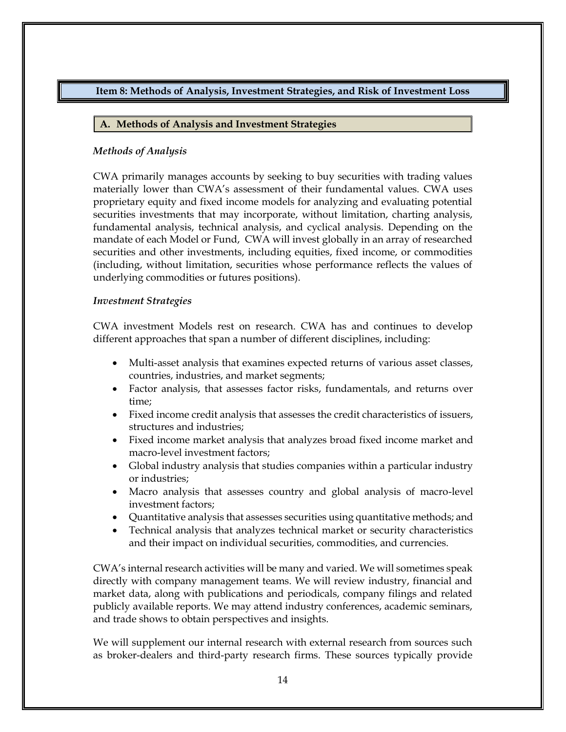# <span id="page-16-0"></span>**Item 8: Methods of Analysis, Investment Strategies, and Risk of Investment Loss**

### **A. Methods of Analysis and Investment Strategies**

### *Methods of Analysis*

CWA primarily manages accounts by seeking to buy securities with trading values materially lower than CWA's assessment of their fundamental values. CWA uses proprietary equity and fixed income models for analyzing and evaluating potential securities investments that may incorporate, without limitation, charting analysis, fundamental analysis, technical analysis, and cyclical analysis. Depending on the mandate of each Model or Fund, CWA will invest globally in an array of researched securities and other investments, including equities, fixed income, or commodities (including, without limitation, securities whose performance reflects the values of underlying commodities or futures positions).

### *Investment Strategies*

CWA investment Models rest on research. CWA has and continues to develop different approaches that span a number of different disciplines, including:

- Multi-asset analysis that examines expected returns of various asset classes, countries, industries, and market segments;
- Factor analysis, that assesses factor risks, fundamentals, and returns over time;
- Fixed income credit analysis that assesses the credit characteristics of issuers, structures and industries;
- Fixed income market analysis that analyzes broad fixed income market and macro-level investment factors;
- Global industry analysis that studies companies within a particular industry or industries;
- Macro analysis that assesses country and global analysis of macro-level investment factors;
- Quantitative analysis that assesses securities using quantitative methods; and
- Technical analysis that analyzes technical market or security characteristics and their impact on individual securities, commodities, and currencies.

CWA's internal research activities will be many and varied. We will sometimes speak directly with company management teams. We will review industry, financial and market data, along with publications and periodicals, company filings and related publicly available reports. We may attend industry conferences, academic seminars, and trade shows to obtain perspectives and insights.

We will supplement our internal research with external research from sources such as broker-dealers and third-party research firms. These sources typically provide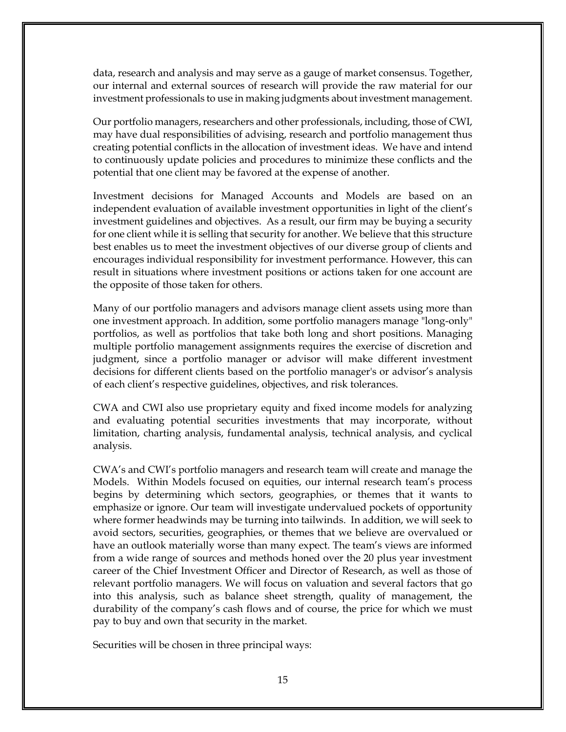data, research and analysis and may serve as a gauge of market consensus. Together, our internal and external sources of research will provide the raw material for our investment professionals to use in making judgments about investment management.

Our portfolio managers, researchers and other professionals, including, those of CWI, may have dual responsibilities of advising, research and portfolio management thus creating potential conflicts in the allocation of investment ideas. We have and intend to continuously update policies and procedures to minimize these conflicts and the potential that one client may be favored at the expense of another.

Investment decisions for Managed Accounts and Models are based on an independent evaluation of available investment opportunities in light of the client's investment guidelines and objectives. As a result, our firm may be buying a security for one client while it is selling that security for another. We believe that this structure best enables us to meet the investment objectives of our diverse group of clients and encourages individual responsibility for investment performance. However, this can result in situations where investment positions or actions taken for one account are the opposite of those taken for others.

Many of our portfolio managers and advisors manage client assets using more than one investment approach. In addition, some portfolio managers manage "long-only" portfolios, as well as portfolios that take both long and short positions. Managing multiple portfolio management assignments requires the exercise of discretion and judgment, since a portfolio manager or advisor will make different investment decisions for different clients based on the portfolio manager's or advisor's analysis of each client's respective guidelines, objectives, and risk tolerances.

CWA and CWI also use proprietary equity and fixed income models for analyzing and evaluating potential securities investments that may incorporate, without limitation, charting analysis, fundamental analysis, technical analysis, and cyclical analysis.

CWA's and CWI's portfolio managers and research team will create and manage the Models. Within Models focused on equities, our internal research team's process begins by determining which sectors, geographies, or themes that it wants to emphasize or ignore. Our team will investigate undervalued pockets of opportunity where former headwinds may be turning into tailwinds. In addition, we will seek to avoid sectors, securities, geographies, or themes that we believe are overvalued or have an outlook materially worse than many expect. The team's views are informed from a wide range of sources and methods honed over the 20 plus year investment career of the Chief Investment Officer and Director of Research, as well as those of relevant portfolio managers. We will focus on valuation and several factors that go into this analysis, such as balance sheet strength, quality of management, the durability of the company's cash flows and of course, the price for which we must pay to buy and own that security in the market.

Securities will be chosen in three principal ways: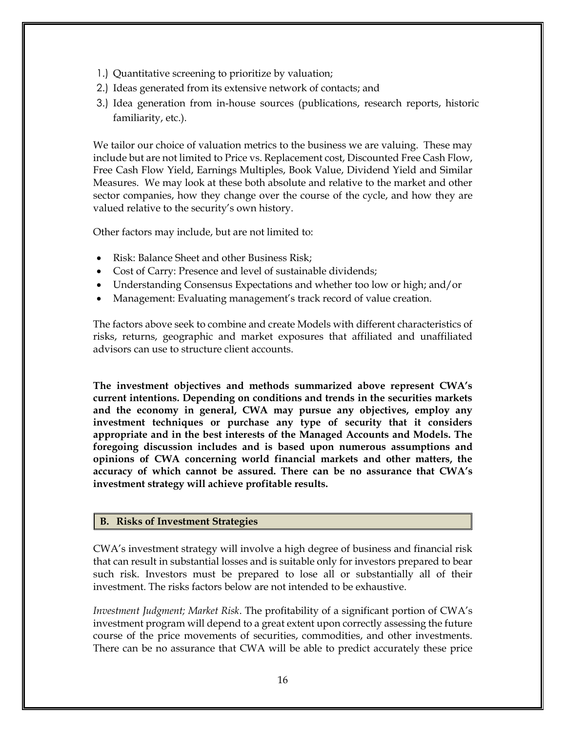- 1.) Quantitative screening to prioritize by valuation;
- 2.) Ideas generated from its extensive network of contacts; and
- 3.) Idea generation from in-house sources (publications, research reports, historic familiarity, etc.).

We tailor our choice of valuation metrics to the business we are valuing. These may include but are not limited to Price vs. Replacement cost, Discounted Free Cash Flow, Free Cash Flow Yield, Earnings Multiples, Book Value, Dividend Yield and Similar Measures. We may look at these both absolute and relative to the market and other sector companies, how they change over the course of the cycle, and how they are valued relative to the security's own history.

Other factors may include, but are not limited to:

- Risk: Balance Sheet and other Business Risk;
- Cost of Carry: Presence and level of sustainable dividends;
- Understanding Consensus Expectations and whether too low or high; and/or
- Management: Evaluating management's track record of value creation.

The factors above seek to combine and create Models with different characteristics of risks, returns, geographic and market exposures that affiliated and unaffiliated advisors can use to structure client accounts.

**The investment objectives and methods summarized above represent CWA's current intentions. Depending on conditions and trends in the securities markets and the economy in general, CWA may pursue any objectives, employ any investment techniques or purchase any type of security that it considers appropriate and in the best interests of the Managed Accounts and Models. The foregoing discussion includes and is based upon numerous assumptions and opinions of CWA concerning world financial markets and other matters, the accuracy of which cannot be assured. There can be no assurance that CWA's investment strategy will achieve profitable results.**

### **B. Risks of Investment Strategies**

CWA's investment strategy will involve a high degree of business and financial risk that can result in substantial losses and is suitable only for investors prepared to bear such risk. Investors must be prepared to lose all or substantially all of their investment. The risks factors below are not intended to be exhaustive.

*Investment Judgment; Market Risk*. The profitability of a significant portion of CWA's investment program will depend to a great extent upon correctly assessing the future course of the price movements of securities, commodities, and other investments. There can be no assurance that CWA will be able to predict accurately these price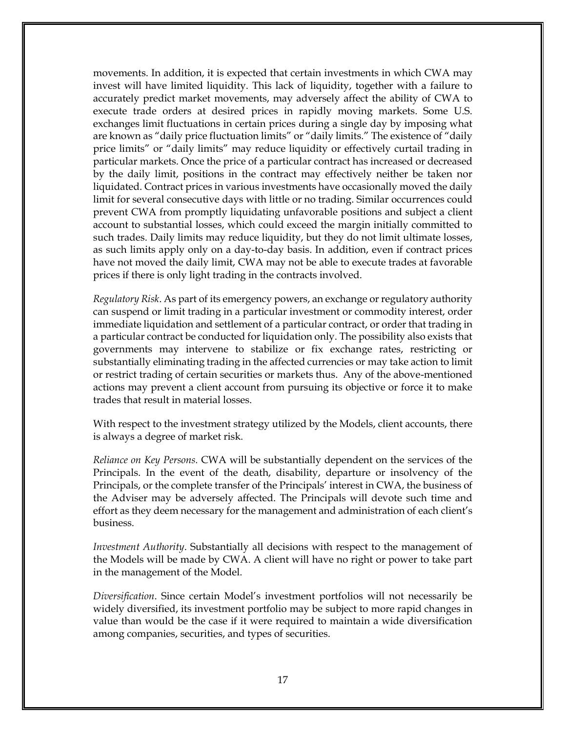movements. In addition, it is expected that certain investments in which CWA may invest will have limited liquidity. This lack of liquidity, together with a failure to accurately predict market movements, may adversely affect the ability of CWA to execute trade orders at desired prices in rapidly moving markets. Some U.S. exchanges limit fluctuations in certain prices during a single day by imposing what are known as "daily price fluctuation limits" or "daily limits." The existence of "daily price limits" or "daily limits" may reduce liquidity or effectively curtail trading in particular markets. Once the price of a particular contract has increased or decreased by the daily limit, positions in the contract may effectively neither be taken nor liquidated. Contract prices in various investments have occasionally moved the daily limit for several consecutive days with little or no trading. Similar occurrences could prevent CWA from promptly liquidating unfavorable positions and subject a client account to substantial losses, which could exceed the margin initially committed to such trades. Daily limits may reduce liquidity, but they do not limit ultimate losses, as such limits apply only on a day-to-day basis. In addition, even if contract prices have not moved the daily limit, CWA may not be able to execute trades at favorable prices if there is only light trading in the contracts involved.

*Regulatory Risk*. As part of its emergency powers, an exchange or regulatory authority can suspend or limit trading in a particular investment or commodity interest, order immediate liquidation and settlement of a particular contract, or order that trading in a particular contract be conducted for liquidation only. The possibility also exists that governments may intervene to stabilize or fix exchange rates, restricting or substantially eliminating trading in the affected currencies or may take action to limit or restrict trading of certain securities or markets thus. Any of the above-mentioned actions may prevent a client account from pursuing its objective or force it to make trades that result in material losses.

With respect to the investment strategy utilized by the Models, client accounts, there is always a degree of market risk.

*Reliance on Key Persons.* CWA will be substantially dependent on the services of the Principals. In the event of the death, disability, departure or insolvency of the Principals, or the complete transfer of the Principals' interest in CWA, the business of the Adviser may be adversely affected. The Principals will devote such time and effort as they deem necessary for the management and administration of each client's business.

*Investment Authority*. Substantially all decisions with respect to the management of the Models will be made by CWA. A client will have no right or power to take part in the management of the Model.

*Diversification*. Since certain Model's investment portfolios will not necessarily be widely diversified, its investment portfolio may be subject to more rapid changes in value than would be the case if it were required to maintain a wide diversification among companies, securities, and types of securities.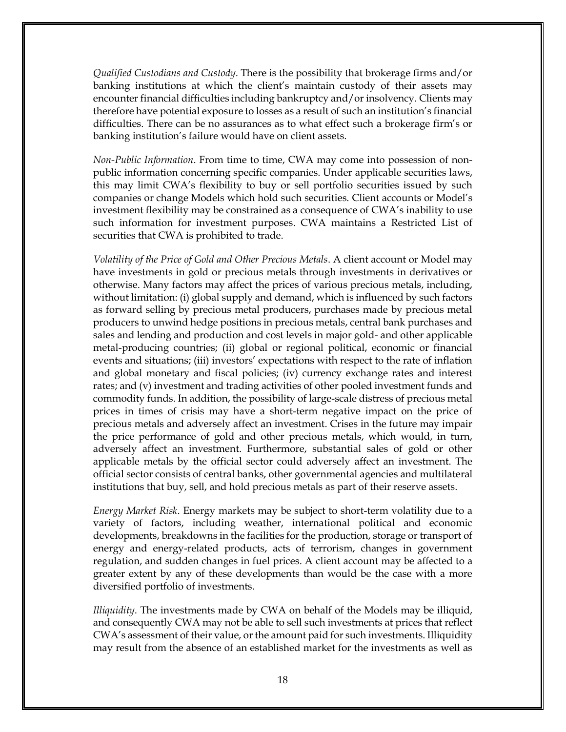*Qualified Custodians and Custody*. There is the possibility that brokerage firms and/or banking institutions at which the client's maintain custody of their assets may encounter financial difficulties including bankruptcy and/or insolvency. Clients may therefore have potential exposure to losses as a result of such an institution's financial difficulties. There can be no assurances as to what effect such a brokerage firm's or banking institution's failure would have on client assets.

*Non-Public Information*. From time to time, CWA may come into possession of nonpublic information concerning specific companies. Under applicable securities laws, this may limit CWA's flexibility to buy or sell portfolio securities issued by such companies or change Models which hold such securities. Client accounts or Model's investment flexibility may be constrained as a consequence of CWA's inability to use such information for investment purposes. CWA maintains a Restricted List of securities that CWA is prohibited to trade.

*Volatility of the Price of Gold and Other Precious Metals*. A client account or Model may have investments in gold or precious metals through investments in derivatives or otherwise. Many factors may affect the prices of various precious metals, including, without limitation: (i) global supply and demand, which is influenced by such factors as forward selling by precious metal producers, purchases made by precious metal producers to unwind hedge positions in precious metals, central bank purchases and sales and lending and production and cost levels in major gold- and other applicable metal-producing countries; (ii) global or regional political, economic or financial events and situations; (iii) investors' expectations with respect to the rate of inflation and global monetary and fiscal policies; (iv) currency exchange rates and interest rates; and (v) investment and trading activities of other pooled investment funds and commodity funds. In addition, the possibility of large-scale distress of precious metal prices in times of crisis may have a short-term negative impact on the price of precious metals and adversely affect an investment. Crises in the future may impair the price performance of gold and other precious metals, which would, in turn, adversely affect an investment. Furthermore, substantial sales of gold or other applicable metals by the official sector could adversely affect an investment. The official sector consists of central banks, other governmental agencies and multilateral institutions that buy, sell, and hold precious metals as part of their reserve assets.

*Energy Market Risk*. Energy markets may be subject to short-term volatility due to a variety of factors, including weather, international political and economic developments, breakdowns in the facilities for the production, storage or transport of energy and energy-related products, acts of terrorism, changes in government regulation, and sudden changes in fuel prices. A client account may be affected to a greater extent by any of these developments than would be the case with a more diversified portfolio of investments.

*Illiquidity*. The investments made by CWA on behalf of the Models may be illiquid, and consequently CWA may not be able to sell such investments at prices that reflect CWA's assessment of their value, or the amount paid for such investments. Illiquidity may result from the absence of an established market for the investments as well as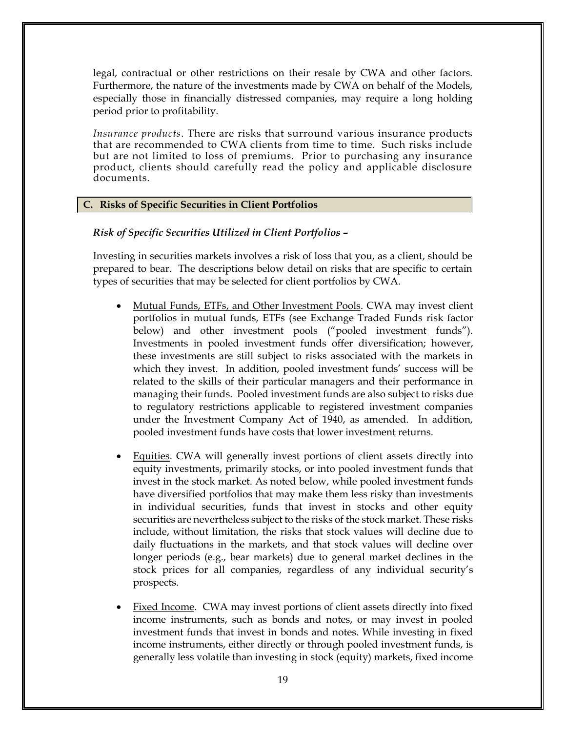legal, contractual or other restrictions on their resale by CWA and other factors. Furthermore, the nature of the investments made by CWA on behalf of the Models, especially those in financially distressed companies, may require a long holding period prior to profitability.

*Insurance products*. There are risks that surround various insurance products that are recommended to CWA clients from time to time. Such risks include but are not limited to loss of premiums. Prior to purchasing any insurance product, clients should carefully read the policy and applicable disclosure documents.

# **C. Risks of Specific Securities in Client Portfolios**

*Risk of Specific Securities Utilized in Client Portfolios* **–**

Investing in securities markets involves a risk of loss that you, as a client, should be prepared to bear. The descriptions below detail on risks that are specific to certain types of securities that may be selected for client portfolios by CWA.

- Mutual Funds, ETFs, and Other Investment Pools. CWA may invest client portfolios in mutual funds, ETFs (see Exchange Traded Funds risk factor below) and other investment pools ("pooled investment funds"). Investments in pooled investment funds offer diversification; however, these investments are still subject to risks associated with the markets in which they invest. In addition, pooled investment funds' success will be related to the skills of their particular managers and their performance in managing their funds. Pooled investment funds are also subject to risks due to regulatory restrictions applicable to registered investment companies under the Investment Company Act of 1940, as amended. In addition, pooled investment funds have costs that lower investment returns.
- Equities. CWA will generally invest portions of client assets directly into equity investments, primarily stocks, or into pooled investment funds that invest in the stock market. As noted below, while pooled investment funds have diversified portfolios that may make them less risky than investments in individual securities, funds that invest in stocks and other equity securities are nevertheless subject to the risks of the stock market. These risks include, without limitation, the risks that stock values will decline due to daily fluctuations in the markets, and that stock values will decline over longer periods (e.g., bear markets) due to general market declines in the stock prices for all companies, regardless of any individual security's prospects.
- Fixed Income. CWA may invest portions of client assets directly into fixed income instruments, such as bonds and notes, or may invest in pooled investment funds that invest in bonds and notes. While investing in fixed income instruments, either directly or through pooled investment funds, is generally less volatile than investing in stock (equity) markets, fixed income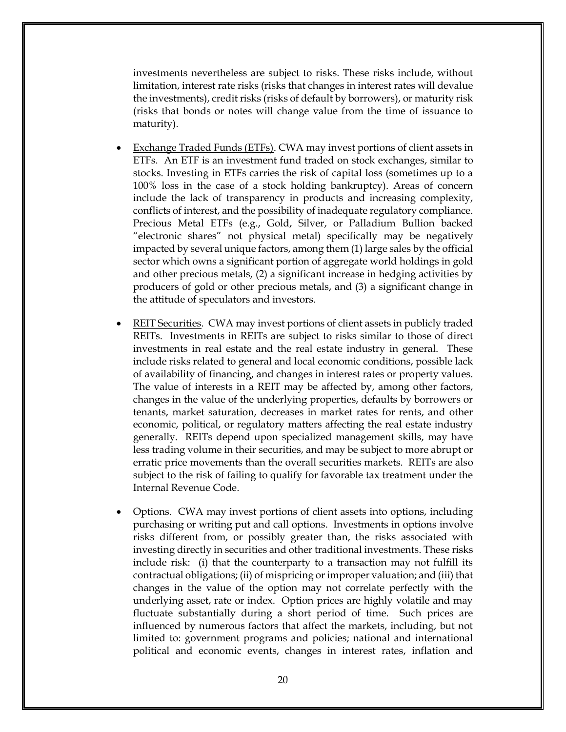investments nevertheless are subject to risks. These risks include, without limitation, interest rate risks (risks that changes in interest rates will devalue the investments), credit risks (risks of default by borrowers), or maturity risk (risks that bonds or notes will change value from the time of issuance to maturity).

- Exchange Traded Funds (ETFs). CWA may invest portions of client assets in ETFs. An ETF is an [investment fund](http://en.wikipedia.org/wiki/Collective_investment_scheme) traded on [stock exchanges,](http://en.wikipedia.org/wiki/Stock_exchange) similar to [stocks.](http://en.wikipedia.org/wiki/Stock) Investing in ETFs carries the risk of capital loss (sometimes up to a 100% loss in the case of a stock holding bankruptcy). Areas of concern include the lack of transparency in products and increasing complexity, conflicts of interest, and the possibility of inadequate regulatory compliance. Precious Metal ETFs (e.g., Gold, Silver, or Palladium Bullion backed "electronic shares" not physical metal) specifically may be negatively impacted by several unique factors, among them (1) large sales by the official sector which owns a significant portion of aggregate world holdings in gold and other precious metals, (2) a significant increase in hedging activities by producers of gold or other precious metals, and (3) a significant change in the attitude of speculators and investors.
- REIT Securities. CWA may invest portions of client assets in publicly traded REITs. Investments in REITs are subject to risks similar to those of direct investments in real estate and the real estate industry in general. These include risks related to general and local economic conditions, possible lack of availability of financing, and changes in interest rates or property values. The value of interests in a REIT may be affected by, among other factors, changes in the value of the underlying properties, defaults by borrowers or tenants, market saturation, decreases in market rates for rents, and other economic, political, or regulatory matters affecting the real estate industry generally. REITs depend upon specialized management skills, may have less trading volume in their securities, and may be subject to more abrupt or erratic price movements than the overall securities markets. REITs are also subject to the risk of failing to qualify for favorable tax treatment under the Internal Revenue Code.
- Options. CWA may invest portions of client assets into options, including purchasing or writing put and call options. Investments in options involve risks different from, or possibly greater than, the risks associated with investing directly in securities and other traditional investments. These risks include risk: (i) that the counterparty to a transaction may not fulfill its contractual obligations; (ii) of mispricing or improper valuation; and (iii) that changes in the value of the option may not correlate perfectly with the underlying asset, rate or index. Option prices are highly volatile and may fluctuate substantially during a short period of time. Such prices are influenced by numerous factors that affect the markets, including, but not limited to: government programs and policies; national and international political and economic events, changes in interest rates, inflation and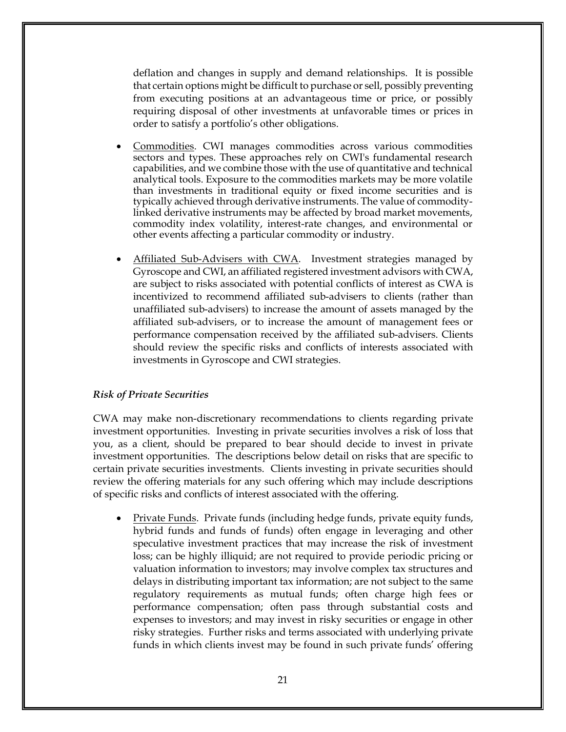deflation and changes in supply and demand relationships. It is possible that certain options might be difficult to purchase or sell, possibly preventing from executing positions at an advantageous time or price, or possibly requiring disposal of other investments at unfavorable times or prices in order to satisfy a portfolio's other obligations.

- Commodities. CWI manages commodities across various commodities sectors and types. These approaches rely on CWI's fundamental research capabilities, and we combine those with the use of quantitative and technical analytical tools. Exposure to the commodities markets may be more volatile than investments in traditional equity or fixed income securities and is typically achieved through derivative instruments. The value of commoditylinked derivative instruments may be affected by broad market movements, commodity index volatility, interest-rate changes, and environmental or other events affecting a particular commodity or industry.
- Affiliated Sub-Advisers with CWA. Investment strategies managed by Gyroscope and CWI, an affiliated registered investment advisors with CWA, are subject to risks associated with potential conflicts of interest as CWA is incentivized to recommend affiliated sub-advisers to clients (rather than unaffiliated sub-advisers) to increase the amount of assets managed by the affiliated sub-advisers, or to increase the amount of management fees or performance compensation received by the affiliated sub-advisers. Clients should review the specific risks and conflicts of interests associated with investments in Gyroscope and CWI strategies.

### *Risk of Private Securities*

CWA may make non-discretionary recommendations to clients regarding private investment opportunities. Investing in private securities involves a risk of loss that you, as a client, should be prepared to bear should decide to invest in private investment opportunities. The descriptions below detail on risks that are specific to certain private securities investments. Clients investing in private securities should review the offering materials for any such offering which may include descriptions of specific risks and conflicts of interest associated with the offering.

Private Funds. Private funds (including hedge funds, private equity funds, hybrid funds and funds of funds) often engage in leveraging and other speculative investment practices that may increase the risk of investment loss; can be highly illiquid; are not required to provide periodic pricing or valuation information to investors; may involve complex tax structures and delays in distributing important tax information; are not subject to the same regulatory requirements as mutual funds; often charge high fees or performance compensation; often pass through substantial costs and expenses to investors; and may invest in risky securities or engage in other risky strategies. Further risks and terms associated with underlying private funds in which clients invest may be found in such private funds' offering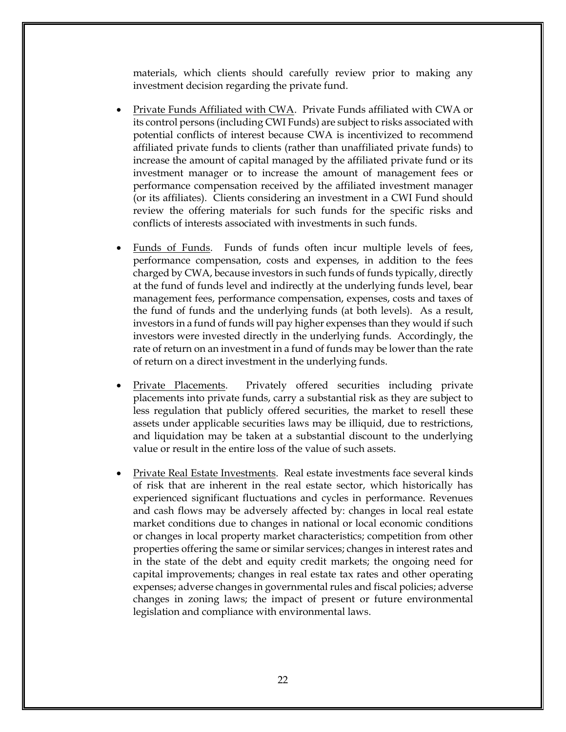materials, which clients should carefully review prior to making any investment decision regarding the private fund.

- Private Funds Affiliated with CWA. Private Funds affiliated with CWA or its control persons (including CWI Funds) are subject to risks associated with potential conflicts of interest because CWA is incentivized to recommend affiliated private funds to clients (rather than unaffiliated private funds) to increase the amount of capital managed by the affiliated private fund or its investment manager or to increase the amount of management fees or performance compensation received by the affiliated investment manager (or its affiliates). Clients considering an investment in a CWI Fund should review the offering materials for such funds for the specific risks and conflicts of interests associated with investments in such funds.
- Funds of Funds. Funds of funds often incur multiple levels of fees, performance compensation, costs and expenses, in addition to the fees charged by CWA, because investors in such funds of funds typically, directly at the fund of funds level and indirectly at the underlying funds level, bear management fees, performance compensation, expenses, costs and taxes of the fund of funds and the underlying funds (at both levels). As a result, investors in a fund of funds will pay higher expenses than they would if such investors were invested directly in the underlying funds. Accordingly, the rate of return on an investment in a fund of funds may be lower than the rate of return on a direct investment in the underlying funds.
- Private Placements. Privately offered securities including private placements into private funds, carry a substantial risk as they are subject to less regulation that publicly offered securities, the market to resell these assets under applicable securities laws may be illiquid, due to restrictions, and liquidation may be taken at a substantial discount to the underlying value or result in the entire loss of the value of such assets.
- Private Real Estate Investments. Real estate investments face several kinds of risk that are inherent in the real estate sector, which historically has experienced significant fluctuations and cycles in performance. Revenues and cash flows may be adversely affected by: changes in local real estate market conditions due to changes in national or local economic conditions or changes in local property market characteristics; competition from other properties offering the same or similar services; changes in interest rates and in the state of the debt and equity credit markets; the ongoing need for capital improvements; changes in real estate tax rates and other operating expenses; adverse changes in governmental rules and fiscal policies; adverse changes in zoning laws; the impact of present or future environmental legislation and compliance with environmental laws.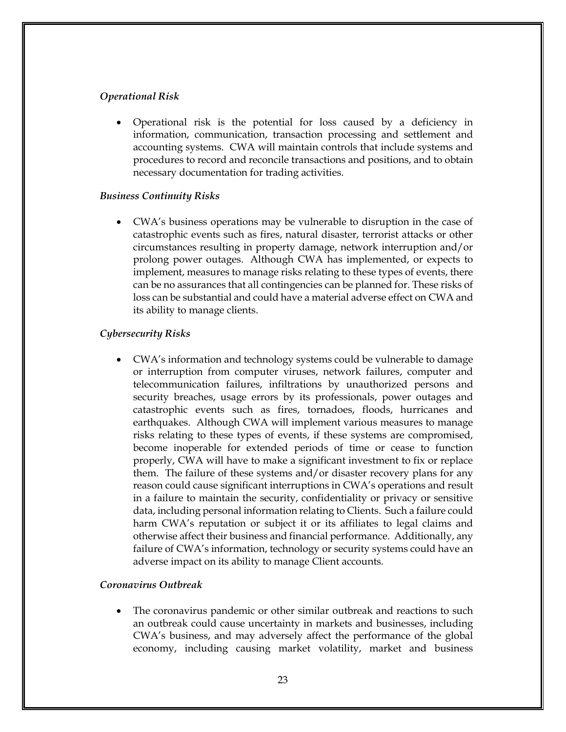### *Operational Risk*

• Operational risk is the potential for loss caused by a deficiency in information, communication, transaction processing and settlement and accounting systems. CWA will maintain controls that include systems and procedures to record and reconcile transactions and positions, and to obtain necessary documentation for trading activities.

### *Business Continuity Risks*

• CWA's business operations may be vulnerable to disruption in the case of catastrophic events such as fires, natural disaster, terrorist attacks or other circumstances resulting in property damage, network interruption and/or prolong power outages. Although CWA has implemented, or expects to implement, measures to manage risks relating to these types of events, there can be no assurances that all contingencies can be planned for. These risks of loss can be substantial and could have a material adverse effect on CWA and its ability to manage clients.

### *Cybersecurity Risks*

• CWA's information and technology systems could be vulnerable to damage or interruption from computer viruses, network failures, computer and telecommunication failures, infiltrations by unauthorized persons and security breaches, usage errors by its professionals, power outages and catastrophic events such as fires, tornadoes, floods, hurricanes and earthquakes. Although CWA will implement various measures to manage risks relating to these types of events, if these systems are compromised, become inoperable for extended periods of time or cease to function properly, CWA will have to make a significant investment to fix or replace them. The failure of these systems and/or disaster recovery plans for any reason could cause significant interruptions in CWA's operations and result in a failure to maintain the security, confidentiality or privacy or sensitive data, including personal information relating to Clients. Such a failure could harm CWA's reputation or subject it or its affiliates to legal claims and otherwise affect their business and financial performance. Additionally, any failure of CWA's information, technology or security systems could have an adverse impact on its ability to manage Client accounts.

### *Coronavirus Outbreak*

• The coronavirus pandemic or other similar outbreak and reactions to such an outbreak could cause uncertainty in markets and businesses, including CWA's business, and may adversely affect the performance of the global economy, including causing market volatility, market and business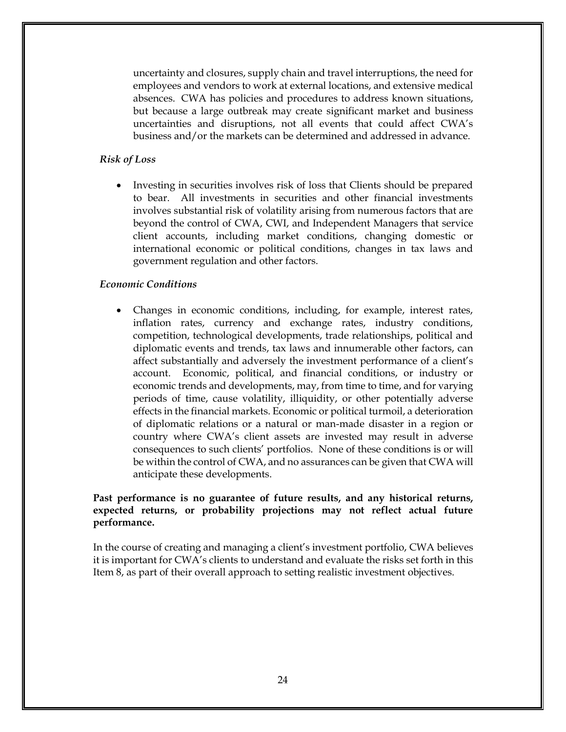uncertainty and closures, supply chain and travel interruptions, the need for employees and vendors to work at external locations, and extensive medical absences. CWA has policies and procedures to address known situations, but because a large outbreak may create significant market and business uncertainties and disruptions, not all events that could affect CWA's business and/or the markets can be determined and addressed in advance.

#### *Risk of Loss*

• Investing in securities involves risk of loss that Clients should be prepared to bear. All investments in securities and other financial investments involves substantial risk of volatility arising from numerous factors that are beyond the control of CWA, CWI, and Independent Managers that service client accounts, including market conditions, changing domestic or international economic or political conditions, changes in tax laws and government regulation and other factors.

### *Economic Conditions*

• Changes in economic conditions, including, for example, interest rates, inflation rates, currency and exchange rates, industry conditions, competition, technological developments, trade relationships, political and diplomatic events and trends, tax laws and innumerable other factors, can affect substantially and adversely the investment performance of a client's account. Economic, political, and financial conditions, or industry or economic trends and developments, may, from time to time, and for varying periods of time, cause volatility, illiquidity, or other potentially adverse effects in the financial markets. Economic or political turmoil, a deterioration of diplomatic relations or a natural or man-made disaster in a region or country where CWA's client assets are invested may result in adverse consequences to such clients' portfolios. None of these conditions is or will be within the control of CWA, and no assurances can be given that CWA will anticipate these developments.

### **Past performance is no guarantee of future results, and any historical returns, expected returns, or probability projections may not reflect actual future performance.**

In the course of creating and managing a client's investment portfolio, CWA believes it is important for CWA's clients to understand and evaluate the risks set forth in this Item 8, as part of their overall approach to setting realistic investment objectives.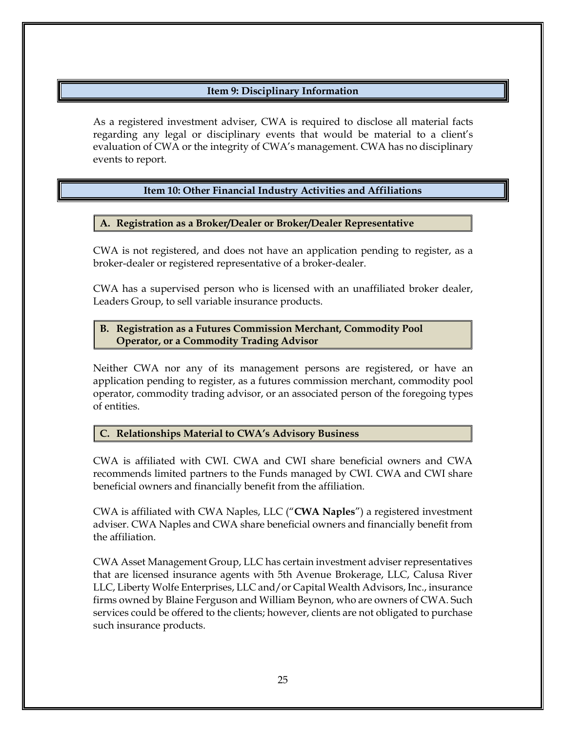# **Item 9: Disciplinary Information**

<span id="page-27-0"></span>As a registered investment adviser, CWA is required to disclose all material facts regarding any legal or disciplinary events that would be material to a client's evaluation of CWA or the integrity of CWA's management. CWA has no disciplinary events to report.

# **Item 10: Other Financial Industry Activities and Affiliations**

# <span id="page-27-1"></span>**A. Registration as a Broker/Dealer or Broker/Dealer Representative**

CWA is not registered, and does not have an application pending to register, as a broker-dealer or registered representative of a broker-dealer.

CWA has a supervised person who is licensed with an unaffiliated broker dealer, Leaders Group, to sell variable insurance products.

# **B. Registration as a Futures Commission Merchant, Commodity Pool Operator, or a Commodity Trading Advisor**

Neither CWA nor any of its management persons are registered, or have an application pending to register, as a futures commission merchant, commodity pool operator, commodity trading advisor, or an associated person of the foregoing types of entities.

# **C. Relationships Material to CWA's Advisory Business**

CWA is affiliated with CWI. CWA and CWI share beneficial owners and CWA recommends limited partners to the Funds managed by CWI. CWA and CWI share beneficial owners and financially benefit from the affiliation.

CWA is affiliated with CWA Naples, LLC ("**CWA Naples**") a registered investment adviser. CWA Naples and CWA share beneficial owners and financially benefit from the affiliation.

CWA Asset Management Group, LLC has certain investment adviser representatives that are licensed insurance agents with 5th Avenue Brokerage, LLC, Calusa River LLC, Liberty Wolfe Enterprises, LLC and/or Capital Wealth Advisors, Inc., insurance firms owned by Blaine Ferguson and William Beynon, who are owners of CWA. Such services could be offered to the clients; however, clients are not obligated to purchase such insurance products.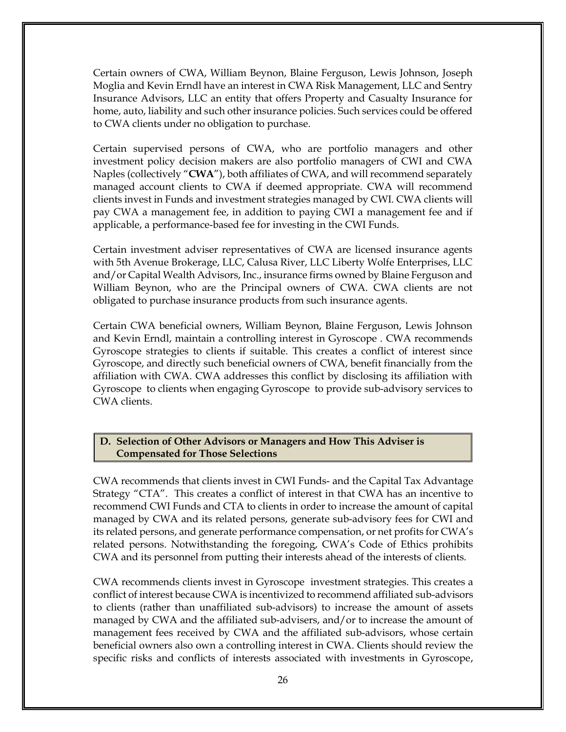Certain owners of CWA, William Beynon, Blaine Ferguson, Lewis Johnson, Joseph Moglia and Kevin Erndl have an interest in CWA Risk Management, LLC and Sentry Insurance Advisors, LLC an entity that offers Property and Casualty Insurance for home, auto, liability and such other insurance policies. Such services could be offered to CWA clients under no obligation to purchase.

Certain supervised persons of CWA, who are portfolio managers and other investment policy decision makers are also portfolio managers of CWI and CWA Naples (collectively "**CWA**"), both affiliates of CWA, and will recommend separately managed account clients to CWA if deemed appropriate. CWA will recommend clients invest in Funds and investment strategies managed by CWI. CWA clients will pay CWA a management fee, in addition to paying CWI a management fee and if applicable, a performance-based fee for investing in the CWI Funds.

Certain investment adviser representatives of CWA are licensed insurance agents with 5th Avenue Brokerage, LLC, Calusa River, LLC Liberty Wolfe Enterprises, LLC and/or Capital Wealth Advisors, Inc., insurance firms owned by Blaine Ferguson and William Beynon, who are the Principal owners of CWA. CWA clients are not obligated to purchase insurance products from such insurance agents.

Certain CWA beneficial owners, William Beynon, Blaine Ferguson, Lewis Johnson and Kevin Erndl, maintain a controlling interest in Gyroscope . CWA recommends Gyroscope strategies to clients if suitable. This creates a conflict of interest since Gyroscope, and directly such beneficial owners of CWA, benefit financially from the affiliation with CWA. CWA addresses this conflict by disclosing its affiliation with Gyroscope to clients when engaging Gyroscope to provide sub-advisory services to CWA clients.

### **D. Selection of Other Advisors or Managers and How This Adviser is Compensated for Those Selections**

CWA recommends that clients invest in CWI Funds- and the Capital Tax Advantage Strategy "CTA". This creates a conflict of interest in that CWA has an incentive to recommend CWI Funds and CTA to clients in order to increase the amount of capital managed by CWA and its related persons, generate sub-advisory fees for CWI and its related persons, and generate performance compensation, or net profits for CWA's related persons. Notwithstanding the foregoing, CWA's Code of Ethics prohibits CWA and its personnel from putting their interests ahead of the interests of clients.

CWA recommends clients invest in Gyroscope investment strategies. This creates a conflict of interest because CWA is incentivized to recommend affiliated sub-advisors to clients (rather than unaffiliated sub-advisors) to increase the amount of assets managed by CWA and the affiliated sub-advisers, and/or to increase the amount of management fees received by CWA and the affiliated sub-advisors, whose certain beneficial owners also own a controlling interest in CWA. Clients should review the specific risks and conflicts of interests associated with investments in Gyroscope,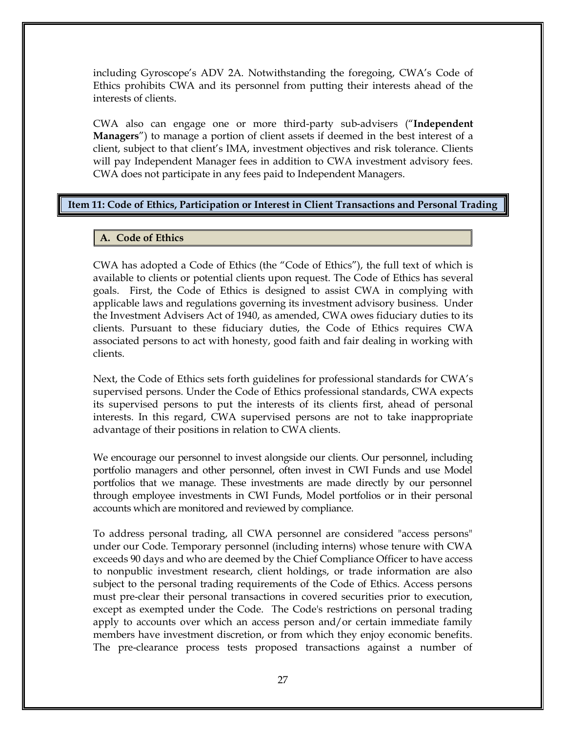including Gyroscope's ADV 2A. Notwithstanding the foregoing, CWA's Code of Ethics prohibits CWA and its personnel from putting their interests ahead of the interests of clients.

CWA also can engage one or more third-party sub-advisers ("**Independent Managers**") to manage a portion of client assets if deemed in the best interest of a client, subject to that client's IMA, investment objectives and risk tolerance. Clients will pay Independent Manager fees in addition to CWA investment advisory fees. CWA does not participate in any fees paid to Independent Managers.

### <span id="page-29-0"></span>**Item 11: Code of Ethics, Participation or Interest in Client Transactions and Personal Trading**

### **A. Code of Ethics**

CWA has adopted a Code of Ethics (the "Code of Ethics"), the full text of which is available to clients or potential clients upon request. The Code of Ethics has several goals. First, the Code of Ethics is designed to assist CWA in complying with applicable laws and regulations governing its investment advisory business. Under the Investment Advisers Act of 1940, as amended, CWA owes fiduciary duties to its clients. Pursuant to these fiduciary duties, the Code of Ethics requires CWA associated persons to act with honesty, good faith and fair dealing in working with clients.

Next, the Code of Ethics sets forth guidelines for professional standards for CWA's supervised persons. Under the Code of Ethics professional standards, CWA expects its supervised persons to put the interests of its clients first, ahead of personal interests. In this regard, CWA supervised persons are not to take inappropriate advantage of their positions in relation to CWA clients.

We encourage our personnel to invest alongside our clients. Our personnel, including portfolio managers and other personnel, often invest in CWI Funds and use Model portfolios that we manage. These investments are made directly by our personnel through employee investments in CWI Funds, Model portfolios or in their personal accounts which are monitored and reviewed by compliance.

To address personal trading, all CWA personnel are considered "access persons" under our Code. Temporary personnel (including interns) whose tenure with CWA exceeds 90 days and who are deemed by the Chief Compliance Officer to have access to nonpublic investment research, client holdings, or trade information are also subject to the personal trading requirements of the Code of Ethics. Access persons must pre-clear their personal transactions in covered securities prior to execution, except as exempted under the Code. The Code's restrictions on personal trading apply to accounts over which an access person and/or certain immediate family members have investment discretion, or from which they enjoy economic benefits. The pre-clearance process tests proposed transactions against a number of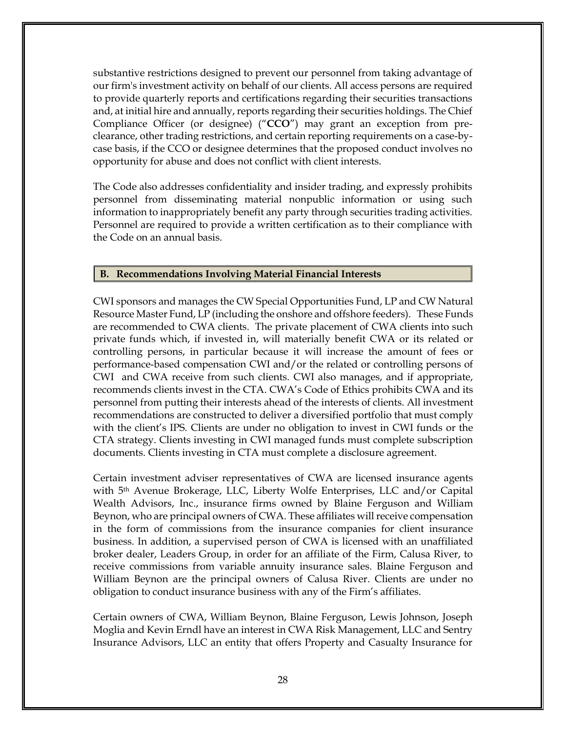substantive restrictions designed to prevent our personnel from taking advantage of our firm's investment activity on behalf of our clients. All access persons are required to provide quarterly reports and certifications regarding their securities transactions and, at initial hire and annually, reports regarding their securities holdings. The Chief Compliance Officer (or designee) ("**CCO**") may grant an exception from preclearance, other trading restrictions, and certain reporting requirements on a case-bycase basis, if the CCO or designee determines that the proposed conduct involves no opportunity for abuse and does not conflict with client interests.

The Code also addresses confidentiality and insider trading, and expressly prohibits personnel from disseminating material nonpublic information or using such information to inappropriately benefit any party through securities trading activities. Personnel are required to provide a written certification as to their compliance with the Code on an annual basis.

### **B. Recommendations Involving Material Financial Interests**

CWI sponsors and manages the CW Special Opportunities Fund, LP and CW Natural Resource Master Fund, LP (including the onshore and offshore feeders). These Funds are recommended to CWA clients. The private placement of CWA clients into such private funds which, if invested in, will materially benefit CWA or its related or controlling persons, in particular because it will increase the amount of fees or performance-based compensation CWI and/or the related or controlling persons of CWI and CWA receive from such clients. CWI also manages, and if appropriate, recommends clients invest in the CTA. CWA's Code of Ethics prohibits CWA and its personnel from putting their interests ahead of the interests of clients. All investment recommendations are constructed to deliver a diversified portfolio that must comply with the client's IPS. Clients are under no obligation to invest in CWI funds or the CTA strategy. Clients investing in CWI managed funds must complete subscription documents. Clients investing in CTA must complete a disclosure agreement.

Certain investment adviser representatives of CWA are licensed insurance agents with 5th Avenue Brokerage, LLC, Liberty Wolfe Enterprises, LLC and/or Capital Wealth Advisors, Inc., insurance firms owned by Blaine Ferguson and William Beynon, who are principal owners of CWA. These affiliates will receive compensation in the form of commissions from the insurance companies for client insurance business. In addition, a supervised person of CWA is licensed with an unaffiliated broker dealer, Leaders Group, in order for an affiliate of the Firm, Calusa River, to receive commissions from variable annuity insurance sales. Blaine Ferguson and William Beynon are the principal owners of Calusa River. Clients are under no obligation to conduct insurance business with any of the Firm's affiliates.

Certain owners of CWA, William Beynon, Blaine Ferguson, Lewis Johnson, Joseph Moglia and Kevin Erndl have an interest in CWA Risk Management, LLC and Sentry Insurance Advisors, LLC an entity that offers Property and Casualty Insurance for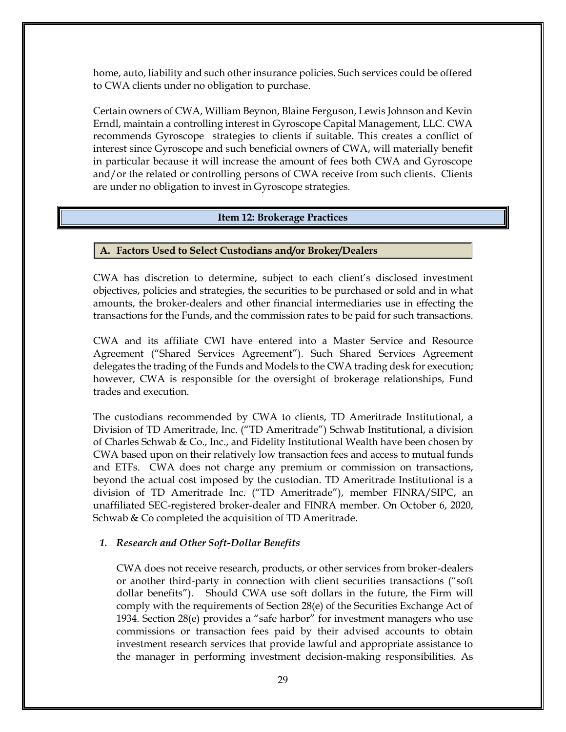home, auto, liability and such other insurance policies. Such services could be offered to CWA clients under no obligation to purchase.

Certain owners of CWA, William Beynon, Blaine Ferguson, Lewis Johnson and Kevin Erndl, maintain a controlling interest in Gyroscope Capital Management, LLC. CWA recommends Gyroscope strategies to clients if suitable. This creates a conflict of interest since Gyroscope and such beneficial owners of CWA, will materially benefit in particular because it will increase the amount of fees both CWA and Gyroscope and/or the related or controlling persons of CWA receive from such clients. Clients are under no obligation to invest in Gyroscope strategies.

### **Item 12: Brokerage Practices**

### <span id="page-31-0"></span>**A. Factors Used to Select Custodians and/or Broker/Dealers**

CWA has discretion to determine, subject to each client's disclosed investment objectives, policies and strategies, the securities to be purchased or sold and in what amounts, the broker-dealers and other financial intermediaries use in effecting the transactions for the Funds, and the commission rates to be paid for such transactions.

CWA and its affiliate CWI have entered into a Master Service and Resource Agreement ("Shared Services Agreement"). Such Shared Services Agreement delegates the trading of the Funds and Models to the CWA trading desk for execution; however, CWA is responsible for the oversight of brokerage relationships, Fund trades and execution.

The custodians recommended by CWA to clients, TD Ameritrade Institutional, a Division of TD Ameritrade, Inc. ("TD Ameritrade") Schwab Institutional, a division of Charles Schwab & Co., Inc., and Fidelity Institutional Wealth have been chosen by CWA based upon on their relatively low transaction fees and access to mutual funds and ETFs. CWA does not charge any premium or commission on transactions, beyond the actual cost imposed by the custodian. TD Ameritrade Institutional is a division of TD Ameritrade Inc. ("TD Ameritrade"), member FINRA/SIPC, an unaffiliated SEC-registered broker-dealer and FINRA member. On October 6, 2020, Schwab & Co completed the acquisition of TD Ameritrade.

#### *1. Research and Other Soft-Dollar Benefits*

CWA does not receive research, products, or other services from broker-dealers or another third-party in connection with client securities transactions ("soft dollar benefits"). Should CWA use soft dollars in the future, the Firm will comply with the requirements of Section 28(e) of the Securities Exchange Act of 1934. Section 28(e) provides a "safe harbor" for investment managers who use commissions or transaction fees paid by their advised accounts to obtain investment research services that provide lawful and appropriate assistance to the manager in performing investment decision-making responsibilities. As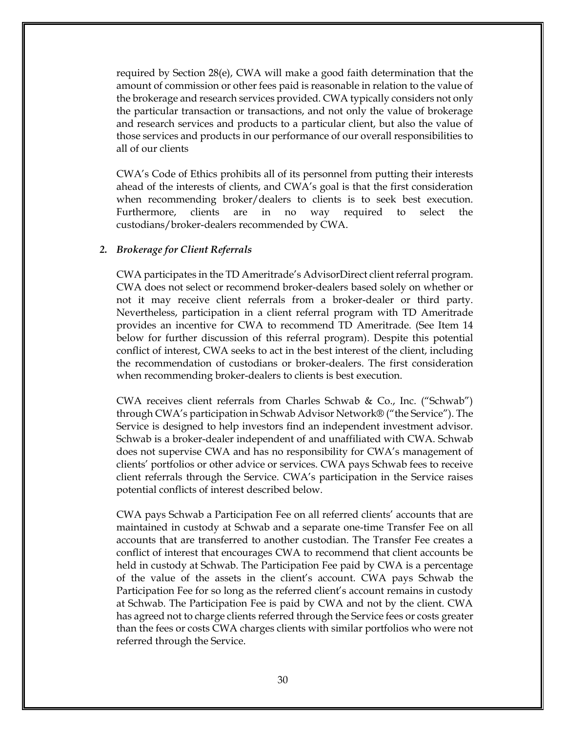required by Section 28(e), CWA will make a good faith determination that the amount of commission or other fees paid is reasonable in relation to the value of the brokerage and research services provided. CWA typically considers not only the particular transaction or transactions, and not only the value of brokerage and research services and products to a particular client, but also the value of those services and products in our performance of our overall responsibilities to all of our clients

CWA's Code of Ethics prohibits all of its personnel from putting their interests ahead of the interests of clients, and CWA's goal is that the first consideration when recommending broker/dealers to clients is to seek best execution. Furthermore, clients are in no way required to select the custodians/broker-dealers recommended by CWA.

#### *2. Brokerage for Client Referrals*

CWA participates in the TD Ameritrade's AdvisorDirect client referral program. CWA does not select or recommend broker-dealers based solely on whether or not it may receive client referrals from a broker-dealer or third party. Nevertheless, participation in a client referral program with TD Ameritrade provides an incentive for CWA to recommend TD Ameritrade. (See Item 14 below for further discussion of this referral program). Despite this potential conflict of interest, CWA seeks to act in the best interest of the client, including the recommendation of custodians or broker-dealers. The first consideration when recommending broker-dealers to clients is best execution.

CWA receives client referrals from Charles Schwab & Co., Inc. ("Schwab") through CWA's participation in Schwab Advisor Network® ("the Service"). The Service is designed to help investors find an independent investment advisor. Schwab is a broker-dealer independent of and unaffiliated with CWA. Schwab does not supervise CWA and has no responsibility for CWA's management of clients' portfolios or other advice or services. CWA pays Schwab fees to receive client referrals through the Service. CWA's participation in the Service raises potential conflicts of interest described below.

CWA pays Schwab a Participation Fee on all referred clients' accounts that are maintained in custody at Schwab and a separate one-time Transfer Fee on all accounts that are transferred to another custodian. The Transfer Fee creates a conflict of interest that encourages CWA to recommend that client accounts be held in custody at Schwab. The Participation Fee paid by CWA is a percentage of the value of the assets in the client's account. CWA pays Schwab the Participation Fee for so long as the referred client's account remains in custody at Schwab. The Participation Fee is paid by CWA and not by the client. CWA has agreed not to charge clients referred through the Service fees or costs greater than the fees or costs CWA charges clients with similar portfolios who were not referred through the Service.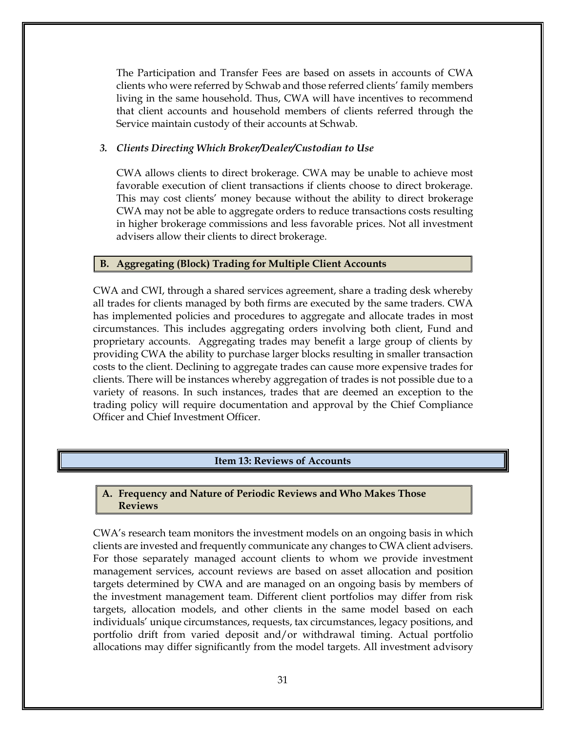The Participation and Transfer Fees are based on assets in accounts of CWA clients who were referred by Schwab and those referred clients' family members living in the same household. Thus, CWA will have incentives to recommend that client accounts and household members of clients referred through the Service maintain custody of their accounts at Schwab.

### *3. Clients Directing Which Broker/Dealer/Custodian to Use*

CWA allows clients to direct brokerage. CWA may be unable to achieve most favorable execution of client transactions if clients choose to direct brokerage. This may cost clients' money because without the ability to direct brokerage CWA may not be able to aggregate orders to reduce transactions costs resulting in higher brokerage commissions and less favorable prices. Not all investment advisers allow their clients to direct brokerage.

### **B. Aggregating (Block) Trading for Multiple Client Accounts**

CWA and CWI, through a shared services agreement, share a trading desk whereby all trades for clients managed by both firms are executed by the same traders. CWA has implemented policies and procedures to aggregate and allocate trades in most circumstances. This includes aggregating orders involving both client, Fund and proprietary accounts. Aggregating trades may benefit a large group of clients by providing CWA the ability to purchase larger blocks resulting in smaller transaction costs to the client. Declining to aggregate trades can cause more expensive trades for clients. There will be instances whereby aggregation of trades is not possible due to a variety of reasons. In such instances, trades that are deemed an exception to the trading policy will require documentation and approval by the Chief Compliance Officer and Chief Investment Officer.

# **Item 13: Reviews of Accounts**

#### <span id="page-33-0"></span>**A. Frequency and Nature of Periodic Reviews and Who Makes Those Reviews**

CWA's research team monitors the investment models on an ongoing basis in which clients are invested and frequently communicate any changes to CWA client advisers. For those separately managed account clients to whom we provide investment management services, account reviews are based on asset allocation and position targets determined by CWA and are managed on an ongoing basis by members of the investment management team. Different client portfolios may differ from risk targets, allocation models, and other clients in the same model based on each individuals' unique circumstances, requests, tax circumstances, legacy positions, and portfolio drift from varied deposit and/or withdrawal timing. Actual portfolio allocations may differ significantly from the model targets. All investment advisory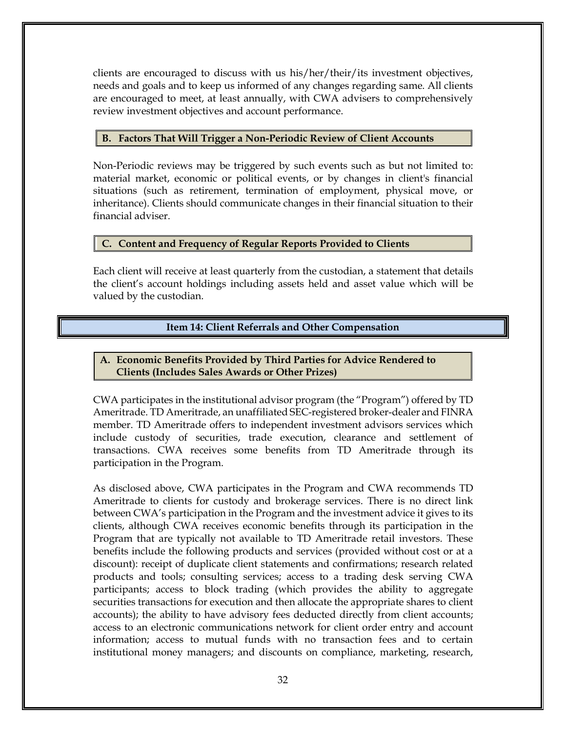clients are encouraged to discuss with us his/her/their/its investment objectives, needs and goals and to keep us informed of any changes regarding same. All clients are encouraged to meet, at least annually, with CWA advisers to comprehensively review investment objectives and account performance.

### **B. Factors That Will Trigger a Non-Periodic Review of Client Accounts**

Non-Periodic reviews may be triggered by such events such as but not limited to: material market, economic or political events, or by changes in client's financial situations (such as retirement, termination of employment, physical move, or inheritance). Clients should communicate changes in their financial situation to their financial adviser.

### **C. Content and Frequency of Regular Reports Provided to Clients**

Each client will receive at least quarterly from the custodian, a statement that details the client's account holdings including assets held and asset value which will be valued by the custodian.

# **Item 14: Client Referrals and Other Compensation**

# <span id="page-34-0"></span>**A. Economic Benefits Provided by Third Parties for Advice Rendered to Clients (Includes Sales Awards or Other Prizes)**

CWA participates in the institutional advisor program (the "Program") offered by TD Ameritrade. TD Ameritrade, an unaffiliated SEC-registered broker-dealer and FINRA member. TD Ameritrade offers to independent investment advisors services which include custody of securities, trade execution, clearance and settlement of transactions. CWA receives some benefits from TD Ameritrade through its participation in the Program.

As disclosed above, CWA participates in the Program and CWA recommends TD Ameritrade to clients for custody and brokerage services. There is no direct link between CWA's participation in the Program and the investment advice it gives to its clients, although CWA receives economic benefits through its participation in the Program that are typically not available to TD Ameritrade retail investors. These benefits include the following products and services (provided without cost or at a discount): receipt of duplicate client statements and confirmations; research related products and tools; consulting services; access to a trading desk serving CWA participants; access to block trading (which provides the ability to aggregate securities transactions for execution and then allocate the appropriate shares to client accounts); the ability to have advisory fees deducted directly from client accounts; access to an electronic communications network for client order entry and account information; access to mutual funds with no transaction fees and to certain institutional money managers; and discounts on compliance, marketing, research,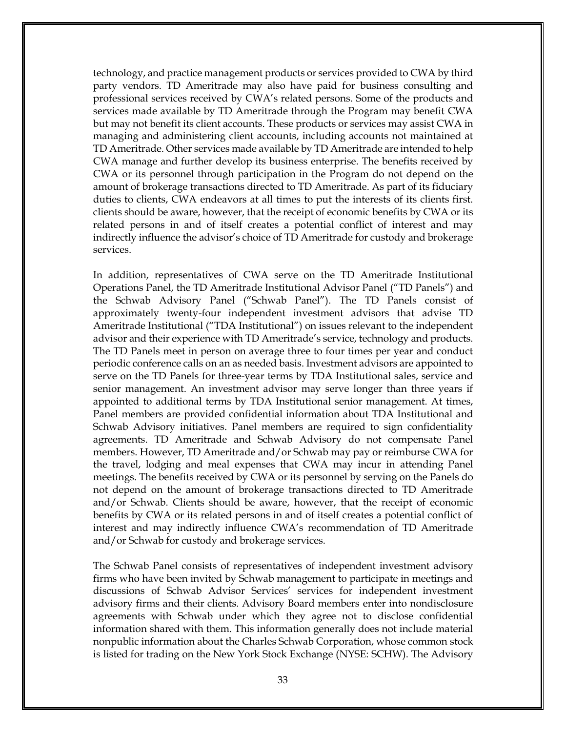technology, and practice management products or services provided to CWA by third party vendors. TD Ameritrade may also have paid for business consulting and professional services received by CWA's related persons. Some of the products and services made available by TD Ameritrade through the Program may benefit CWA but may not benefit its client accounts. These products or services may assist CWA in managing and administering client accounts, including accounts not maintained at TD Ameritrade. Other services made available by TD Ameritrade are intended to help CWA manage and further develop its business enterprise. The benefits received by CWA or its personnel through participation in the Program do not depend on the amount of brokerage transactions directed to TD Ameritrade. As part of its fiduciary duties to clients, CWA endeavors at all times to put the interests of its clients first. clients should be aware, however, that the receipt of economic benefits by CWA or its related persons in and of itself creates a potential conflict of interest and may indirectly influence the advisor's choice of TD Ameritrade for custody and brokerage services.

In addition, representatives of CWA serve on the TD Ameritrade Institutional Operations Panel, the TD Ameritrade Institutional Advisor Panel ("TD Panels") and the Schwab Advisory Panel ("Schwab Panel"). The TD Panels consist of approximately twenty-four independent investment advisors that advise TD Ameritrade Institutional ("TDA Institutional") on issues relevant to the independent advisor and their experience with TD Ameritrade's service, technology and products. The TD Panels meet in person on average three to four times per year and conduct periodic conference calls on an as needed basis. Investment advisors are appointed to serve on the TD Panels for three-year terms by TDA Institutional sales, service and senior management. An investment advisor may serve longer than three years if appointed to additional terms by TDA Institutional senior management. At times, Panel members are provided confidential information about TDA Institutional and Schwab Advisory initiatives. Panel members are required to sign confidentiality agreements. TD Ameritrade and Schwab Advisory do not compensate Panel members. However, TD Ameritrade and/or Schwab may pay or reimburse CWA for the travel, lodging and meal expenses that CWA may incur in attending Panel meetings. The benefits received by CWA or its personnel by serving on the Panels do not depend on the amount of brokerage transactions directed to TD Ameritrade and/or Schwab. Clients should be aware, however, that the receipt of economic benefits by CWA or its related persons in and of itself creates a potential conflict of interest and may indirectly influence CWA's recommendation of TD Ameritrade and/or Schwab for custody and brokerage services.

The Schwab Panel consists of representatives of independent investment advisory firms who have been invited by Schwab management to participate in meetings and discussions of Schwab Advisor Services' services for independent investment advisory firms and their clients. Advisory Board members enter into nondisclosure agreements with Schwab under which they agree not to disclose confidential information shared with them. This information generally does not include material nonpublic information about the Charles Schwab Corporation, whose common stock is listed for trading on the New York Stock Exchange (NYSE: SCHW). The Advisory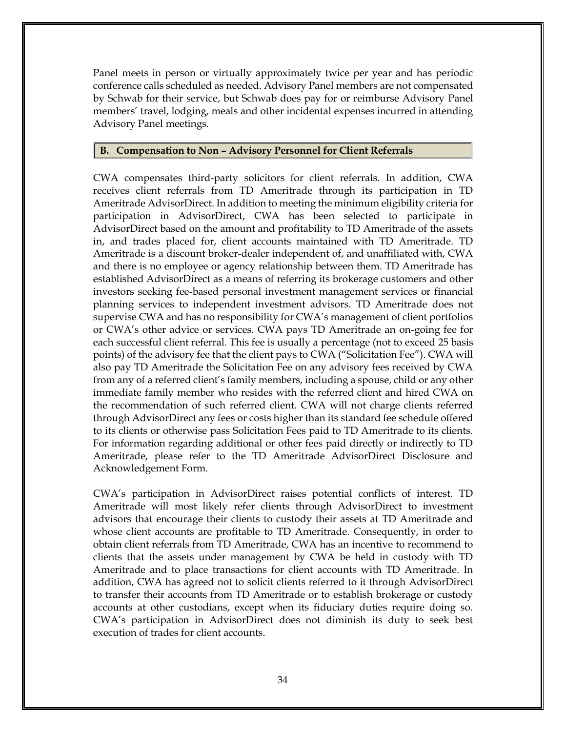Panel meets in person or virtually approximately twice per year and has periodic conference calls scheduled as needed. Advisory Panel members are not compensated by Schwab for their service, but Schwab does pay for or reimburse Advisory Panel members' travel, lodging, meals and other incidental expenses incurred in attending Advisory Panel meetings.

#### **B. Compensation to Non – Advisory Personnel for Client Referrals**

CWA compensates third-party solicitors for client referrals. In addition, CWA receives client referrals from TD Ameritrade through its participation in TD Ameritrade AdvisorDirect. In addition to meeting the minimum eligibility criteria for participation in AdvisorDirect, CWA has been selected to participate in AdvisorDirect based on the amount and profitability to TD Ameritrade of the assets in, and trades placed for, client accounts maintained with TD Ameritrade. TD Ameritrade is a discount broker-dealer independent of, and unaffiliated with, CWA and there is no employee or agency relationship between them. TD Ameritrade has established AdvisorDirect as a means of referring its brokerage customers and other investors seeking fee-based personal investment management services or financial planning services to independent investment advisors. TD Ameritrade does not supervise CWA and has no responsibility for CWA's management of client portfolios or CWA's other advice or services. CWA pays TD Ameritrade an on-going fee for each successful client referral. This fee is usually a percentage (not to exceed 25 basis points) of the advisory fee that the client pays to CWA ("Solicitation Fee"). CWA will also pay TD Ameritrade the Solicitation Fee on any advisory fees received by CWA from any of a referred client's family members, including a spouse, child or any other immediate family member who resides with the referred client and hired CWA on the recommendation of such referred client. CWA will not charge clients referred through AdvisorDirect any fees or costs higher than its standard fee schedule offered to its clients or otherwise pass Solicitation Fees paid to TD Ameritrade to its clients. For information regarding additional or other fees paid directly or indirectly to TD Ameritrade, please refer to the TD Ameritrade AdvisorDirect Disclosure and Acknowledgement Form.

CWA's participation in AdvisorDirect raises potential conflicts of interest. TD Ameritrade will most likely refer clients through AdvisorDirect to investment advisors that encourage their clients to custody their assets at TD Ameritrade and whose client accounts are profitable to TD Ameritrade. Consequently, in order to obtain client referrals from TD Ameritrade, CWA has an incentive to recommend to clients that the assets under management by CWA be held in custody with TD Ameritrade and to place transactions for client accounts with TD Ameritrade. In addition, CWA has agreed not to solicit clients referred to it through AdvisorDirect to transfer their accounts from TD Ameritrade or to establish brokerage or custody accounts at other custodians, except when its fiduciary duties require doing so. CWA's participation in AdvisorDirect does not diminish its duty to seek best execution of trades for client accounts.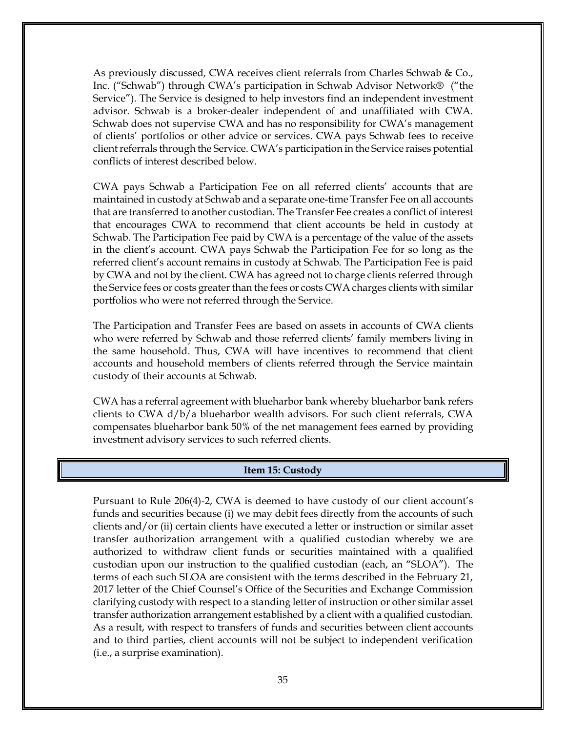As previously discussed, CWA receives client referrals from Charles Schwab & Co., Inc. ("Schwab") through CWA's participation in Schwab Advisor Network® ("the Service"). The Service is designed to help investors find an independent investment advisor. Schwab is a broker-dealer independent of and unaffiliated with CWA. Schwab does not supervise CWA and has no responsibility for CWA's management of clients' portfolios or other advice or services. CWA pays Schwab fees to receive client referrals through the Service. CWA's participation in the Service raises potential conflicts of interest described below.

CWA pays Schwab a Participation Fee on all referred clients' accounts that are maintained in custody at Schwab and a separate one-time Transfer Fee on all accounts that are transferred to another custodian. The Transfer Fee creates a conflict of interest that encourages CWA to recommend that client accounts be held in custody at Schwab. The Participation Fee paid by CWA is a percentage of the value of the assets in the client's account. CWA pays Schwab the Participation Fee for so long as the referred client's account remains in custody at Schwab. The Participation Fee is paid by CWA and not by the client. CWA has agreed not to charge clients referred through the Service fees or costs greater than the fees or costs CWA charges clients with similar portfolios who were not referred through the Service.

The Participation and Transfer Fees are based on assets in accounts of CWA clients who were referred by Schwab and those referred clients' family members living in the same household. Thus, CWA will have incentives to recommend that client accounts and household members of clients referred through the Service maintain custody of their accounts at Schwab.

CWA has a referral agreement with blueharbor bank whereby blueharbor bank refers clients to CWA d/b/a blueharbor wealth advisors. For such client referrals, CWA compensates blueharbor bank 50% of the net management fees earned by providing investment advisory services to such referred clients.

#### **Item 15: Custody**

<span id="page-37-0"></span>Pursuant to Rule 206(4)‐2, CWA is deemed to have custody of our client account's funds and securities because (i) we may debit fees directly from the accounts of such clients and/or (ii) certain clients have executed a letter or instruction or similar asset transfer authorization arrangement with a qualified custodian whereby we are authorized to withdraw client funds or securities maintained with a qualified custodian upon our instruction to the qualified custodian (each, an "SLOA"). The terms of each such SLOA are consistent with the terms described in the February 21, 2017 letter of the Chief Counsel's Office of the Securities and Exchange Commission clarifying custody with respect to a standing letter of instruction or other similar asset transfer authorization arrangement established by a client with a qualified custodian. As a result, with respect to transfers of funds and securities between client accounts and to third parties, client accounts will not be subject to independent verification (i.e., a surprise examination).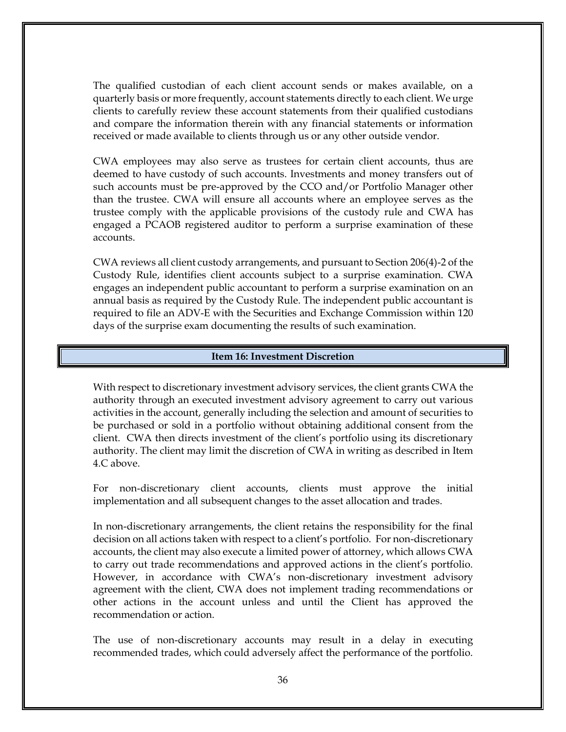The qualified custodian of each client account sends or makes available, on a quarterly basis or more frequently, account statements directly to each client. We urge clients to carefully review these account statements from their qualified custodians and compare the information therein with any financial statements or information received or made available to clients through us or any other outside vendor.

CWA employees may also serve as trustees for certain client accounts, thus are deemed to have custody of such accounts. Investments and money transfers out of such accounts must be pre-approved by the CCO and/or Portfolio Manager other than the trustee. CWA will ensure all accounts where an employee serves as the trustee comply with the applicable provisions of the custody rule and CWA has engaged a PCAOB registered auditor to perform a surprise examination of these accounts.

CWA reviews all client custody arrangements, and pursuant to Section 206(4)-2 of the Custody Rule, identifies client accounts subject to a surprise examination. CWA engages an independent public accountant to perform a surprise examination on an annual basis as required by the Custody Rule. The independent public accountant is required to file an ADV-E with the Securities and Exchange Commission within 120 days of the surprise exam documenting the results of such examination.

#### **Item 16: Investment Discretion**

<span id="page-38-0"></span>With respect to discretionary investment advisory services, the client grants CWA the authority through an executed investment advisory agreement to carry out various activities in the account, generally including the selection and amount of securities to be purchased or sold in a portfolio without obtaining additional consent from the client. CWA then directs investment of the client's portfolio using its discretionary authority. The client may limit the discretion of CWA in writing as described in Item 4.C above.

For non-discretionary client accounts, clients must approve the initial implementation and all subsequent changes to the asset allocation and trades.

In non-discretionary arrangements, the client retains the responsibility for the final decision on all actions taken with respect to a client's portfolio. For non-discretionary accounts, the client may also execute a limited power of attorney, which allows CWA to carry out trade recommendations and approved actions in the client's portfolio. However, in accordance with CWA's non-discretionary investment advisory agreement with the client, CWA does not implement trading recommendations or other actions in the account unless and until the Client has approved the recommendation or action.

The use of non-discretionary accounts may result in a delay in executing recommended trades, which could adversely affect the performance of the portfolio.